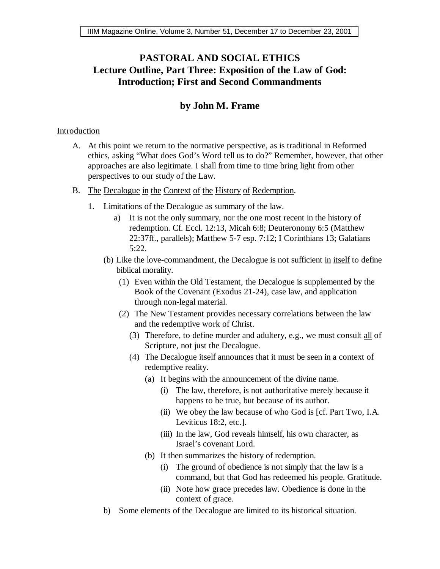## **PASTORAL AND SOCIAL ETHICS Lecture Outline, Part Three: Exposition of the Law of God: Introduction; First and Second Commandments**

## **by John M. Frame**

## Introduction

- A. At this point we return to the normative perspective, as is traditional in Reformed ethics, asking "What does God's Word tell us to do?" Remember, however, that other approaches are also legitimate. I shall from time to time bring light from other perspectives to our study of the Law.
- B. The Decalogue in the Context of the History of Redemption.
	- 1. Limitations of the Decalogue as summary of the law.
		- a) It is not the only summary, nor the one most recent in the history of redemption. Cf. Eccl. 12:13, Micah 6:8; Deuteronomy 6:5 (Matthew 22:37ff., parallels); Matthew 5-7 esp. 7:12; I Corinthians 13; Galatians 5:22.
		- (b) Like the love-commandment, the Decalogue is not sufficient in itself to define biblical morality.
			- (1) Even within the Old Testament, the Decalogue is supplemented by the Book of the Covenant (Exodus 21-24), case law, and application through non-legal material.
			- (2) The New Testament provides necessary correlations between the law and the redemptive work of Christ.
				- (3) Therefore, to define murder and adultery, e.g., we must consult  $all$  of Scripture, not just the Decalogue.
				- (4) The Decalogue itself announces that it must be seen in a context of redemptive reality.
					- (a) It begins with the announcement of the divine name.
						- (i) The law, therefore, is not authoritative merely because it happens to be true, but because of its author.
						- (ii) We obey the law because of who God is [cf. Part Two, I.A. Leviticus 18:2, etc.].
						- (iii) In the law, God reveals himself, his own character, as Israel's covenant Lord.
					- (b) It then summarizes the history of redemption.
						- (i) The ground of obedience is not simply that the law is a command, but that God has redeemed his people. Gratitude.
						- (ii) Note how grace precedes law. Obedience is done in the context of grace.
		- b) Some elements of the Decalogue are limited to its historical situation.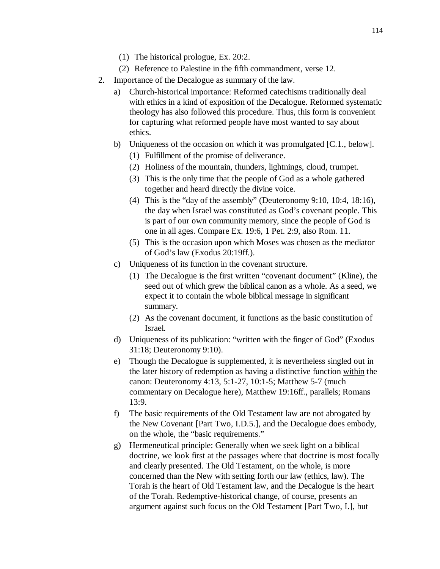- (1) The historical prologue, Ex. 20:2.
- (2) Reference to Palestine in the fifth commandment, verse 12.
- 2. Importance of the Decalogue as summary of the law.
	- a) Church-historical importance: Reformed catechisms traditionally deal with ethics in a kind of exposition of the Decalogue. Reformed systematic theology has also followed this procedure. Thus, this form is convenient for capturing what reformed people have most wanted to say about ethics.
	- b) Uniqueness of the occasion on which it was promulgated [C.1., below].
		- (1) Fulfillment of the promise of deliverance.
		- (2) Holiness of the mountain, thunders, lightnings, cloud, trumpet.
		- (3) This is the only time that the people of God as a whole gathered together and heard directly the divine voice.
		- (4) This is the "day of the assembly" (Deuteronomy 9:10, 10:4, 18:16), the day when Israel was constituted as God's covenant people. This is part of our own community memory, since the people of God is one in all ages. Compare Ex. 19:6, 1 Pet. 2:9, also Rom. 11.
		- (5) This is the occasion upon which Moses was chosen as the mediator of God's law (Exodus 20:19ff.).
	- c) Uniqueness of its function in the covenant structure.
		- (1) The Decalogue is the first written "covenant document" (Kline), the seed out of which grew the biblical canon as a whole. As a seed, we expect it to contain the whole biblical message in significant summary.
		- (2) As the covenant document, it functions as the basic constitution of Israel.
	- d) Uniqueness of its publication: "written with the finger of God" (Exodus 31:18; Deuteronomy 9:10).
	- e) Though the Decalogue is supplemented, it is nevertheless singled out in the later history of redemption as having a distinctive function within the canon: Deuteronomy 4:13, 5:1-27, 10:1-5; Matthew 5-7 (much commentary on Decalogue here), Matthew 19:16ff., parallels; Romans 13:9.
	- f) The basic requirements of the Old Testament law are not abrogated by the New Covenant [Part Two, I.D.5.], and the Decalogue does embody, on the whole, the "basic requirements."
	- g) Hermeneutical principle: Generally when we seek light on a biblical doctrine, we look first at the passages where that doctrine is most focally and clearly presented. The Old Testament, on the whole, is more concerned than the New with setting forth our law (ethics, law). The Torah is the heart of Old Testament law, and the Decalogue is the heart of the Torah. Redemptive-historical change, of course, presents an argument against such focus on the Old Testament [Part Two, I.], but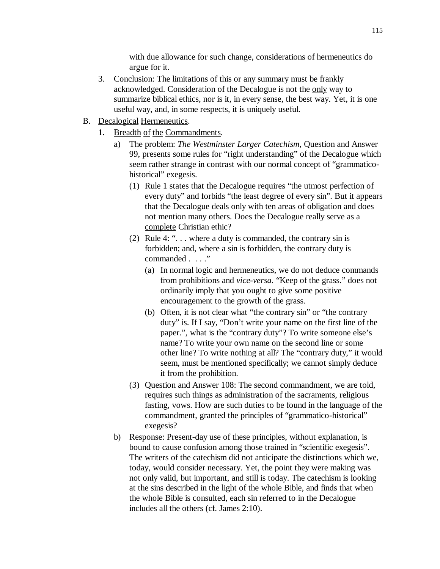with due allowance for such change, considerations of hermeneutics do argue for it.

- 3. Conclusion: The limitations of this or any summary must be frankly acknowledged. Consideration of the Decalogue is not the only way to summarize biblical ethics, nor is it, in every sense, the best way. Yet, it is one useful way, and, in some respects, it is uniquely useful.
- B. Decalogical Hermeneutics.
	- 1. Breadth of the Commandments.
		- a) The problem: *The Westminster Larger Catechism*, Question and Answer 99, presents some rules for "right understanding" of the Decalogue which seem rather strange in contrast with our normal concept of "grammaticohistorical" exegesis.
			- (1) Rule 1 states that the Decalogue requires "the utmost perfection of every duty" and forbids "the least degree of every sin". But it appears that the Decalogue deals only with ten areas of obligation and does not mention many others. Does the Decalogue really serve as a complete Christian ethic?
			- (2) Rule 4: ". . . where a duty is commanded, the contrary sin is forbidden; and, where a sin is forbidden, the contrary duty is commanded . . . . "
				- (a) In normal logic and hermeneutics, we do not deduce commands from prohibitions and *vice-versa*. "Keep of the grass." does not ordinarily imply that you ought to give some positive encouragement to the growth of the grass.
				- (b) Often, it is not clear what "the contrary sin" or "the contrary duty" is. If I say, "Don't write your name on the first line of the paper.", what is the "contrary duty"? To write someone else's name? To write your own name on the second line or some other line? To write nothing at all? The "contrary duty," it would seem, must be mentioned specifically; we cannot simply deduce it from the prohibition.
			- (3) Question and Answer 108: The second commandment, we are told, requires such things as administration of the sacraments, religious fasting, vows. How are such duties to be found in the language of the commandment, granted the principles of "grammatico-historical" exegesis?
		- b) Response: Present-day use of these principles, without explanation, is bound to cause confusion among those trained in "scientific exegesis". The writers of the catechism did not anticipate the distinctions which we, today, would consider necessary. Yet, the point they were making was not only valid, but important, and still is today. The catechism is looking at the sins described in the light of the whole Bible, and finds that when the whole Bible is consulted, each sin referred to in the Decalogue includes all the others (cf. James 2:10).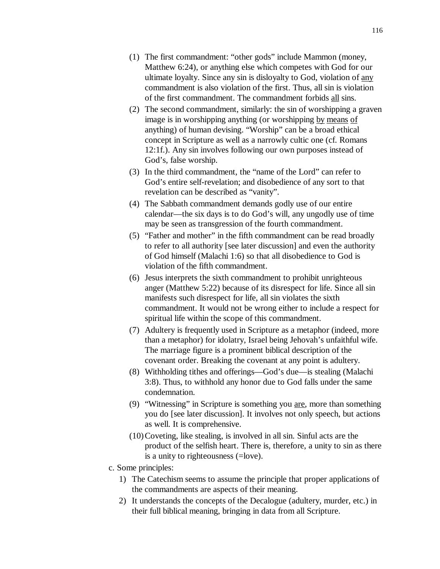- (1) The first commandment: "other gods" include Mammon (money, Matthew 6:24), or anything else which competes with God for our ultimate loyalty. Since any sin is disloyalty to God, violation of any commandment is also violation of the first. Thus, all sin is violation of the first commandment. The commandment forbids all sins.
- (2) The second commandment, similarly: the sin of worshipping a graven image is in worshipping anything (or worshipping by means of anything) of human devising. "Worship" can be a broad ethical concept in Scripture as well as a narrowly cultic one (cf. Romans 12:1f.). Any sin involves following our own purposes instead of God's, false worship.
- (3) In the third commandment, the "name of the Lord" can refer to God's entire self-revelation; and disobedience of any sort to that revelation can be described as "vanity".
- (4) The Sabbath commandment demands godly use of our entire calendar—the six days is to do God's will, any ungodly use of time may be seen as transgression of the fourth commandment.
- (5) "Father and mother" in the fifth commandment can be read broadly to refer to all authority [see later discussion] and even the authority of God himself (Malachi 1:6) so that all disobedience to God is violation of the fifth commandment.
- (6) Jesus interprets the sixth commandment to prohibit unrighteous anger (Matthew 5:22) because of its disrespect for life. Since all sin manifests such disrespect for life, all sin violates the sixth commandment. It would not be wrong either to include a respect for spiritual life within the scope of this commandment.
- (7) Adultery is frequently used in Scripture as a metaphor (indeed, more than a metaphor) for idolatry, Israel being Jehovah's unfaithful wife. The marriage figure is a prominent biblical description of the covenant order. Breaking the covenant at any point is adultery.
- (8) Withholding tithes and offerings—God's due—is stealing (Malachi 3:8). Thus, to withhold any honor due to God falls under the same condemnation.
- (9) "Witnessing" in Scripture is something you are, more than something you do [see later discussion]. It involves not only speech, but actions as well. It is comprehensive.
- (10) Coveting, like stealing, is involved in all sin. Sinful acts are the product of the selfish heart. There is, therefore, a unity to sin as there is a unity to righteousness (=love).
- c. Some principles:
	- 1) The Catechism seems to assume the principle that proper applications of the commandments are aspects of their meaning.
	- 2) It understands the concepts of the Decalogue (adultery, murder, etc.) in their full biblical meaning, bringing in data from all Scripture.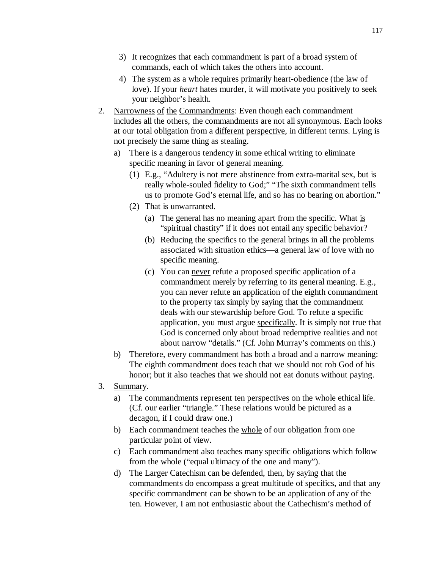- 3) It recognizes that each commandment is part of a broad system of commands, each of which takes the others into account.
- 4) The system as a whole requires primarily heart-obedience (the law of love). If your *heart* hates murder, it will motivate you positively to seek your neighbor's health.
- 2. Narrowness of the Commandments: Even though each commandment includes all the others, the commandments are not all synonymous. Each looks at our total obligation from a different perspective, in different terms. Lying is not precisely the same thing as stealing.
	- a) There is a dangerous tendency in some ethical writing to eliminate specific meaning in favor of general meaning.
		- (1) E.g., "Adultery is not mere abstinence from extra-marital sex, but is really whole-souled fidelity to God;" "The sixth commandment tells us to promote God's eternal life, and so has no bearing on abortion."
		- (2) That is unwarranted.
			- (a) The general has no meaning apart from the specific. What is "spiritual chastity" if it does not entail any specific behavior?
			- (b) Reducing the specifics to the general brings in all the problems associated with situation ethics—a general law of love with no specific meaning.
			- (c) You can never refute a proposed specific application of a commandment merely by referring to its general meaning. E.g., you can never refute an application of the eighth commandment to the property tax simply by saying that the commandment deals with our stewardship before God. To refute a specific application, you must argue specifically. It is simply not true that God is concerned only about broad redemptive realities and not about narrow "details." (Cf. John Murray's comments on this.)
	- b) Therefore, every commandment has both a broad and a narrow meaning: The eighth commandment does teach that we should not rob God of his honor; but it also teaches that we should not eat donuts without paying.
- 3. Summary.
	- a) The commandments represent ten perspectives on the whole ethical life. (Cf. our earlier "triangle." These relations would be pictured as a decagon, if I could draw one.)
	- b) Each commandment teaches the whole of our obligation from one particular point of view.
	- c) Each commandment also teaches many specific obligations which follow from the whole ("equal ultimacy of the one and many").
	- d) The Larger Catechism can be defended, then, by saying that the commandments do encompass a great multitude of specifics, and that any specific commandment can be shown to be an application of any of the ten. However, I am not enthusiastic about the Cathechism's method of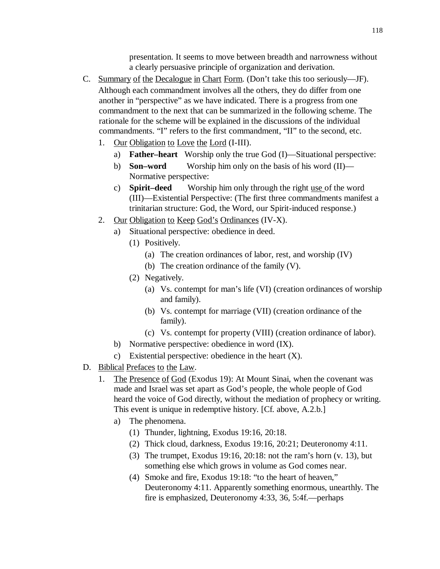presentation. It seems to move between breadth and narrowness without a clearly persuasive principle of organization and derivation.

- C. Summary of the Decalogue in Chart Form. (Don't take this too seriously—JF). Although each commandment involves all the others, they do differ from one another in "perspective" as we have indicated. There is a progress from one commandment to the next that can be summarized in the following scheme. The rationale for the scheme will be explained in the discussions of the individual commandments. "I" refers to the first commandment, "II" to the second, etc.
	- 1. Our Obligation to Love the Lord (I-III).
		- a) **Father–heart** Worship only the true God (I)—Situational perspective:
		- b) **Son–word** Worship him only on the basis of his word (II)— Normative perspective:
		- c) **Spirit–deed** Worship him only through the right use of the word (III)—Existential Perspective: (The first three commandments manifest a trinitarian structure: God, the Word, our Spirit-induced response.)
	- 2. Our Obligation to Keep God's Ordinances (IV-X).
		- a) Situational perspective: obedience in deed.
			- (1) Positively.
				- (a) The creation ordinances of labor, rest, and worship (IV)
				- (b) The creation ordinance of the family (V).
			- (2) Negatively.
				- (a) Vs. contempt for man's life (VI) (creation ordinances of worship and family).
				- (b) Vs. contempt for marriage (VII) (creation ordinance of the family).
				- (c) Vs. contempt for property (VIII) (creation ordinance of labor).
		- b) Normative perspective: obedience in word (IX).
		- c) Existential perspective: obedience in the heart (X).
- D. Biblical Prefaces to the Law.
	- 1. The Presence of God (Exodus 19): At Mount Sinai, when the covenant was made and Israel was set apart as God's people, the whole people of God heard the voice of God directly, without the mediation of prophecy or writing. This event is unique in redemptive history. [Cf. above, A.2.b.]
		- a) The phenomena.
			- (1) Thunder, lightning, Exodus 19:16, 20:18.
			- (2) Thick cloud, darkness, Exodus 19:16, 20:21; Deuteronomy 4:11.
			- (3) The trumpet, Exodus 19:16, 20:18: not the ram's horn (v. 13), but something else which grows in volume as God comes near.
			- (4) Smoke and fire, Exodus 19:18: "to the heart of heaven," Deuteronomy 4:11. Apparently something enormous, unearthly. The fire is emphasized, Deuteronomy 4:33, 36, 5:4f.—perhaps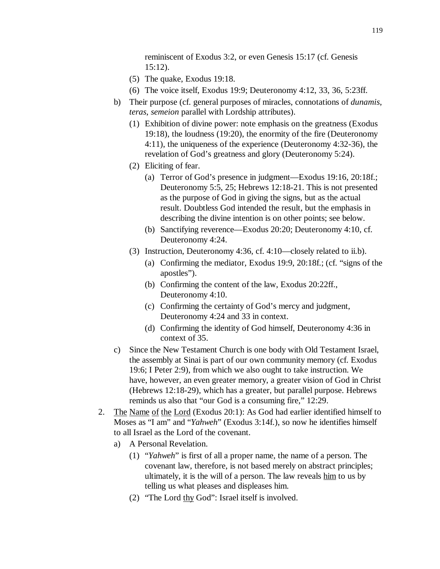reminiscent of Exodus 3:2, or even Genesis 15:17 (cf. Genesis 15:12).

- (5) The quake, Exodus 19:18.
- (6) The voice itself, Exodus 19:9; Deuteronomy 4:12, 33, 36, 5:23ff.
- b) Their purpose (cf. general purposes of miracles, connotations of *dunamis*, *teras*, *semeion* parallel with Lordship attributes).
	- (1) Exhibition of divine power: note emphasis on the greatness (Exodus 19:18), the loudness (19:20), the enormity of the fire (Deuteronomy 4:11), the uniqueness of the experience (Deuteronomy 4:32-36), the revelation of God's greatness and glory (Deuteronomy 5:24).
	- (2) Eliciting of fear.
		- (a) Terror of God's presence in judgment—Exodus 19:16, 20:18f.; Deuteronomy 5:5, 25; Hebrews 12:18-21. This is not presented as the purpose of God in giving the signs, but as the actual result. Doubtless God intended the result, but the emphasis in describing the divine intention is on other points; see below.
		- (b) Sanctifying reverence—Exodus 20:20; Deuteronomy 4:10, cf. Deuteronomy 4:24.
	- (3) Instruction, Deuteronomy 4:36, cf. 4:10—closely related to ii.b).
		- (a) Confirming the mediator, Exodus 19:9, 20:18f.; (cf. "signs of the apostles").
		- (b) Confirming the content of the law, Exodus 20:22ff., Deuteronomy 4:10.
		- (c) Confirming the certainty of God's mercy and judgment, Deuteronomy 4:24 and 33 in context.
		- (d) Confirming the identity of God himself, Deuteronomy 4:36 in context of 35.
- c) Since the New Testament Church is one body with Old Testament Israel, the assembly at Sinai is part of our own community memory (cf. Exodus 19:6; I Peter 2:9), from which we also ought to take instruction. We have, however, an even greater memory, a greater vision of God in Christ (Hebrews 12:18-29), which has a greater, but parallel purpose. Hebrews reminds us also that "our God is a consuming fire," 12:29.
- 2. The Name of the Lord (Exodus 20:1): As God had earlier identified himself to Moses as "I am" and "*Yahweh*" (Exodus 3:14f.), so now he identifies himself to all Israel as the Lord of the covenant.
	- a) A Personal Revelation.
		- (1) "*Yahweh*" is first of all a proper name, the name of a person. The covenant law, therefore, is not based merely on abstract principles; ultimately, it is the will of a person. The law reveals  $\lim_{n \to \infty}$  to us by telling us what pleases and displeases him.
		- (2) "The Lord thy God": Israel itself is involved.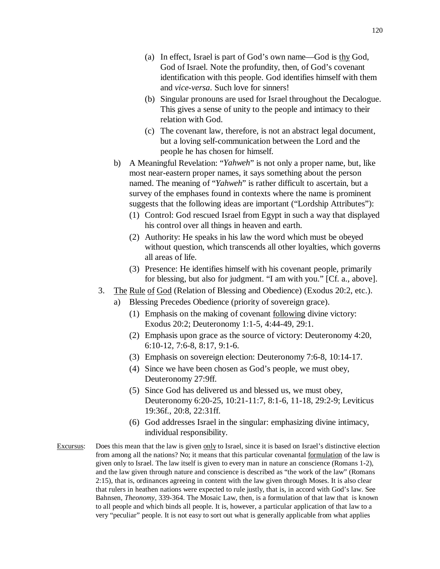- (a) In effect, Israel is part of God's own name—God is thy God, God of Israel. Note the profundity, then, of God's covenant identification with this people. God identifies himself with them and *vice-versa*. Such love for sinners!
- (b) Singular pronouns are used for Israel throughout the Decalogue. This gives a sense of unity to the people and intimacy to their relation with God.
- (c) The covenant law, therefore, is not an abstract legal document, but a loving self-communication between the Lord and the people he has chosen for himself.
- b) A Meaningful Revelation: "*Yahweh*" is not only a proper name, but, like most near-eastern proper names, it says something about the person named. The meaning of "*Yahweh*" is rather difficult to ascertain, but a survey of the emphases found in contexts where the name is prominent suggests that the following ideas are important ("Lordship Attributes"):
	- (1) Control: God rescued Israel from Egypt in such a way that displayed his control over all things in heaven and earth.
	- (2) Authority: He speaks in his law the word which must be obeyed without question, which transcends all other loyalties, which governs all areas of life.
	- (3) Presence: He identifies himself with his covenant people, primarily for blessing, but also for judgment. "I am with you." [Cf. a., above].
- 3. The Rule of God (Relation of Blessing and Obedience) (Exodus 20:2, etc.).
	- a) Blessing Precedes Obedience (priority of sovereign grace).
		- (1) Emphasis on the making of covenant following divine victory: Exodus 20:2; Deuteronomy 1:1-5, 4:44-49, 29:1.
		- (2) Emphasis upon grace as the source of victory: Deuteronomy 4:20, 6:10-12, 7:6-8, 8:17, 9:1-6.
		- (3) Emphasis on sovereign election: Deuteronomy 7:6-8, 10:14-17.
		- (4) Since we have been chosen as God's people, we must obey, Deuteronomy 27:9ff.
		- (5) Since God has delivered us and blessed us, we must obey, Deuteronomy 6:20-25, 10:21-11:7, 8:1-6, 11-18, 29:2-9; Leviticus 19:36f., 20:8, 22:31ff.
		- (6) God addresses Israel in the singular: emphasizing divine intimacy, individual responsibility.
- Excursus: Does this mean that the law is given only to Israel, since it is based on Israel's distinctive election from among all the nations? No; it means that this particular covenantal formulation of the law is given only to Israel. The law itself is given to every man in nature an conscience (Romans 1-2), and the law given through nature and conscience is described as "the work of the law" (Romans 2:15), that is, ordinances agreeing in content with the law given through Moses. It is also clear that rulers in heathen nations were expected to rule justly, that is, in accord with God's law. See Bahnsen, *Theonomy*, 339-364. The Mosaic Law, then, is a formulation of that law that is known to all people and which binds all people. It is, however, a particular application of that law to a very "peculiar" people. It is not easy to sort out what is generally applicable from what applies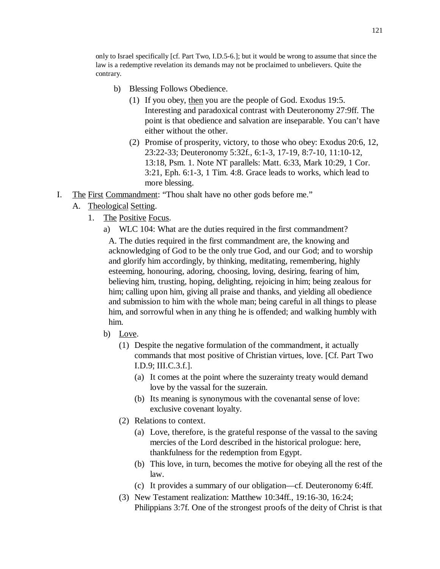only to Israel specifically [cf. Part Two, I.D.5-6.]; but it would be wrong to assume that since the law is a redemptive revelation its demands may not be proclaimed to unbelievers. Quite the contrary.

- b) Blessing Follows Obedience.
	- (1) If you obey, then you are the people of God. Exodus 19:5. Interesting and paradoxical contrast with Deuteronomy 27:9ff. The point is that obedience and salvation are inseparable. You can't have either without the other.
	- (2) Promise of prosperity, victory, to those who obey: Exodus 20:6, 12, 23:22-33; Deuteronomy 5:32f., 6:1-3, 17-19, 8:7-10, 11:10-12, 13:18, Psm. 1. Note NT parallels: Matt. 6:33, Mark 10:29, 1 Cor. 3:21, Eph. 6:1-3, 1 Tim. 4:8. Grace leads to works, which lead to more blessing.
- I. The First Commandment: "Thou shalt have no other gods before me."
	- A. Theological Setting.
		- 1. The Positive Focus.

a) WLC 104: What are the duties required in the first commandment? A. The duties required in the first commandment are, the knowing and acknowledging of God to be the only true God, and our God; and to worship and glorify him accordingly, by thinking, meditating, remembering, highly esteeming, honouring, adoring, choosing, loving, desiring, fearing of him, believing him, trusting, hoping, delighting, rejoicing in him; being zealous for him; calling upon him, giving all praise and thanks, and yielding all obedience and submission to him with the whole man; being careful in all things to please him, and sorrowful when in any thing he is offended; and walking humbly with him.

- b) Love.
	- (1) Despite the negative formulation of the commandment, it actually commands that most positive of Christian virtues, love. [Cf. Part Two I.D.9; III.C.3.f.].
		- (a) It comes at the point where the suzerainty treaty would demand love by the vassal for the suzerain.
		- (b) Its meaning is synonymous with the covenantal sense of love: exclusive covenant loyalty.
	- (2) Relations to context.
		- (a) Love, therefore, is the grateful response of the vassal to the saving mercies of the Lord described in the historical prologue: here, thankfulness for the redemption from Egypt.
		- (b) This love, in turn, becomes the motive for obeying all the rest of the law.
		- (c) It provides a summary of our obligation—cf. Deuteronomy 6:4ff.
	- (3) New Testament realization: Matthew 10:34ff., 19:16-30, 16:24; Philippians 3:7f. One of the strongest proofs of the deity of Christ is that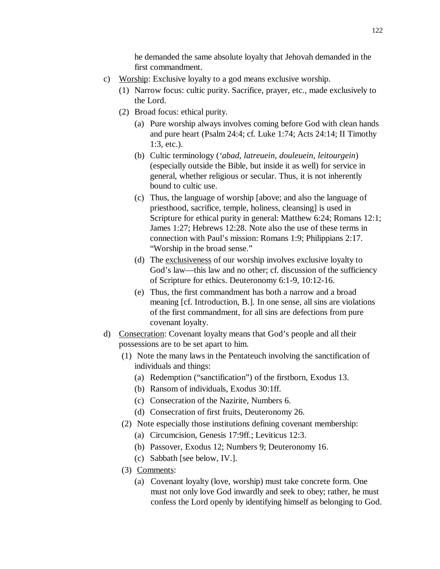he demanded the same absolute loyalty that Jehovah demanded in the first commandment.

- c) Worship: Exclusive loyalty to a god means exclusive worship.
	- (1) Narrow focus: cultic purity. Sacrifice, prayer, etc., made exclusively to the Lord.
	- (2) Broad focus: ethical purity.
		- (a) Pure worship always involves coming before God with clean hands and pure heart (Psalm 24:4; cf. Luke 1:74; Acts 24:14; II Timothy 1:3, etc.).
		- (b) Cultic terminology (*'abad*, *latreuein*, *douleuein*, *leitourgein*) (especially outside the Bible, but inside it as well) for service in general, whether religious or secular. Thus, it is not inherently bound to cultic use.
		- (c) Thus, the language of worship [above; and also the language of priesthood, sacrifice, temple, holiness, cleansing] is used in Scripture for ethical purity in general: Matthew 6:24; Romans 12:1; James 1:27; Hebrews 12:28. Note also the use of these terms in connection with Paul's mission: Romans 1:9; Philippians 2:17. "Worship in the broad sense."
		- (d) The exclusiveness of our worship involves exclusive loyalty to God's law—this law and no other; cf. discussion of the sufficiency of Scripture for ethics. Deuteronomy 6:1-9, 10:12-16.
		- (e) Thus, the first commandment has both a narrow and a broad meaning [cf. Introduction, B.]. In one sense, all sins are violations of the first commandment, for all sins are defections from pure covenant loyalty.
- d) Consecration: Covenant loyalty means that God's people and all their possessions are to be set apart to him.
	- (1) Note the many laws in the Pentateuch involving the sanctification of individuals and things:
		- (a) Redemption ("sanctification") of the firstborn, Exodus 13.
		- (b) Ransom of individuals, Exodus 30:1ff.
		- (c) Consecration of the Nazirite, Numbers 6.
		- (d) Consecration of first fruits, Deuteronomy 26.
	- (2) Note especially those institutions defining covenant membership:
		- (a) Circumcision, Genesis 17:9ff.; Leviticus 12:3.
		- (b) Passover, Exodus 12; Numbers 9; Deuteronomy 16.
		- (c) Sabbath [see below, IV.].
	- (3) Comments:
		- (a) Covenant loyalty (love, worship) must take concrete form. One must not only love God inwardly and seek to obey; rather, he must confess the Lord openly by identifying himself as belonging to God.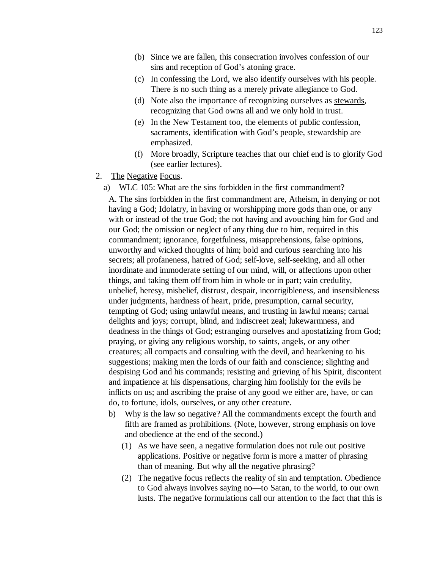- (b) Since we are fallen, this consecration involves confession of our sins and reception of God's atoning grace.
- (c) In confessing the Lord, we also identify ourselves with his people. There is no such thing as a merely private allegiance to God.
- (d) Note also the importance of recognizing ourselves as stewards, recognizing that God owns all and we only hold in trust.
- (e) In the New Testament too, the elements of public confession, sacraments, identification with God's people, stewardship are emphasized.
- (f) More broadly, Scripture teaches that our chief end is to glorify God (see earlier lectures).
- 2. The Negative Focus.
	- a) WLC 105: What are the sins forbidden in the first commandment?

A. The sins forbidden in the first commandment are, Atheism, in denying or not having a God; Idolatry, in having or worshipping more gods than one, or any with or instead of the true God; the not having and avouching him for God and our God; the omission or neglect of any thing due to him, required in this commandment; ignorance, forgetfulness, misapprehensions, false opinions, unworthy and wicked thoughts of him; bold and curious searching into his secrets; all profaneness, hatred of God; self-love, self-seeking, and all other inordinate and immoderate setting of our mind, will, or affections upon other things, and taking them off from him in whole or in part; vain credulity, unbelief, heresy, misbelief, distrust, despair, incorrigibleness, and insensibleness under judgments, hardness of heart, pride, presumption, carnal security, tempting of God; using unlawful means, and trusting in lawful means; carnal delights and joys; corrupt, blind, and indiscreet zeal; lukewarmness, and deadness in the things of God; estranging ourselves and apostatizing from God; praying, or giving any religious worship, to saints, angels, or any other creatures; all compacts and consulting with the devil, and hearkening to his suggestions; making men the lords of our faith and conscience; slighting and despising God and his commands; resisting and grieving of his Spirit, discontent and impatience at his dispensations, charging him foolishly for the evils he inflicts on us; and ascribing the praise of any good we either are, have, or can do, to fortune, idols, ourselves, or any other creature.

- b) Why is the law so negative? All the commandments except the fourth and fifth are framed as prohibitions. (Note, however, strong emphasis on love and obedience at the end of the second.)
	- (1) As we have seen, a negative formulation does not rule out positive applications. Positive or negative form is more a matter of phrasing than of meaning. But why all the negative phrasing?
	- (2) The negative focus reflects the reality of sin and temptation. Obedience to God always involves saying no—to Satan, to the world, to our own lusts. The negative formulations call our attention to the fact that this is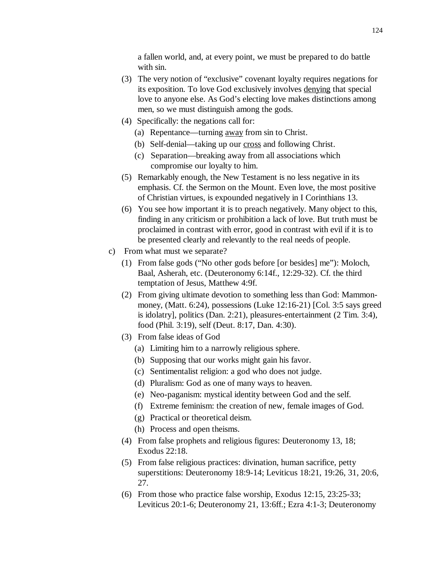a fallen world, and, at every point, we must be prepared to do battle with sin.

- (3) The very notion of "exclusive" covenant loyalty requires negations for its exposition. To love God exclusively involves denying that special love to anyone else. As God's electing love makes distinctions among men, so we must distinguish among the gods.
- (4) Specifically: the negations call for:
	- (a) Repentance—turning away from sin to Christ.
	- (b) Self-denial—taking up our cross and following Christ.
	- (c) Separation—breaking away from all associations which compromise our loyalty to him.
- (5) Remarkably enough, the New Testament is no less negative in its emphasis. Cf. the Sermon on the Mount. Even love, the most positive of Christian virtues, is expounded negatively in I Corinthians 13.
- (6) You see how important it is to preach negatively. Many object to this, finding in any criticism or prohibition a lack of love. But truth must be proclaimed in contrast with error, good in contrast with evil if it is to be presented clearly and relevantly to the real needs of people.
- c) From what must we separate?
	- (1) From false gods ("No other gods before [or besides] me"): Moloch, Baal, Asherah, etc. (Deuteronomy 6:14f., 12:29-32). Cf. the third temptation of Jesus, Matthew 4:9f.
	- (2) From giving ultimate devotion to something less than God: Mammonmoney, (Matt. 6:24), possessions (Luke 12:16-21) [Col. 3:5 says greed is idolatry], politics (Dan. 2:21), pleasures-entertainment (2 Tim. 3:4), food (Phil. 3:19), self (Deut. 8:17, Dan. 4:30).
	- (3) From false ideas of God
		- (a) Limiting him to a narrowly religious sphere.
		- (b) Supposing that our works might gain his favor.
		- (c) Sentimentalist religion: a god who does not judge.
		- (d) Pluralism: God as one of many ways to heaven.
		- (e) Neo-paganism: mystical identity between God and the self.
		- (f) Extreme feminism: the creation of new, female images of God.
		- (g) Practical or theoretical deism.
		- (h) Process and open theisms.
	- (4) From false prophets and religious figures: Deuteronomy 13, 18; Exodus 22:18.
	- (5) From false religious practices: divination, human sacrifice, petty superstitions: Deuteronomy 18:9-14; Leviticus 18:21, 19:26, 31, 20:6, 27.
	- (6) From those who practice false worship, Exodus 12:15, 23:25-33; Leviticus 20:1-6; Deuteronomy 21, 13:6ff.; Ezra 4:1-3; Deuteronomy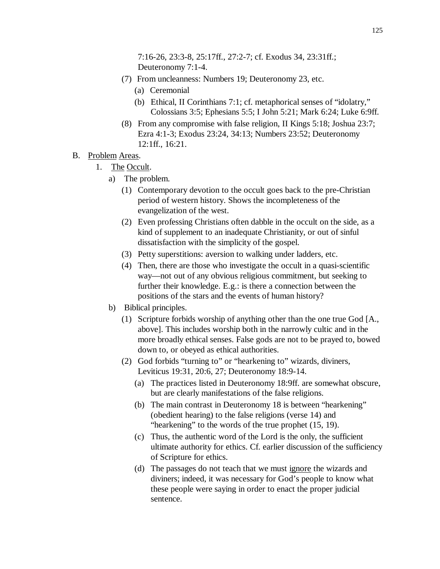7:16-26, 23:3-8, 25:17ff., 27:2-7; cf. Exodus 34, 23:31ff.; Deuteronomy 7:1-4.

- (7) From uncleanness: Numbers 19; Deuteronomy 23, etc.
	- (a) Ceremonial
	- (b) Ethical, II Corinthians 7:1; cf. metaphorical senses of "idolatry," Colossians 3:5; Ephesians 5:5; I John 5:21; Mark 6:24; Luke 6:9ff.
- (8) From any compromise with false religion, II Kings 5:18; Joshua 23:7; Ezra 4:1-3; Exodus 23:24, 34:13; Numbers 23:52; Deuteronomy 12:1ff., 16:21.
- B. Problem Areas.
	- 1. The Occult.
		- a) The problem.
			- (1) Contemporary devotion to the occult goes back to the pre-Christian period of western history. Shows the incompleteness of the evangelization of the west.
			- (2) Even professing Christians often dabble in the occult on the side, as a kind of supplement to an inadequate Christianity, or out of sinful dissatisfaction with the simplicity of the gospel.
			- (3) Petty superstitions: aversion to walking under ladders, etc.
			- (4) Then, there are those who investigate the occult in a quasi-scientific way—not out of any obvious religious commitment, but seeking to further their knowledge. E.g.: is there a connection between the positions of the stars and the events of human history?
		- b) Biblical principles.
			- (1) Scripture forbids worship of anything other than the one true God [A., above]. This includes worship both in the narrowly cultic and in the more broadly ethical senses. False gods are not to be prayed to, bowed down to, or obeyed as ethical authorities.
			- (2) God forbids "turning to" or "hearkening to" wizards, diviners, Leviticus 19:31, 20:6, 27; Deuteronomy 18:9-14.
				- (a) The practices listed in Deuteronomy 18:9ff. are somewhat obscure, but are clearly manifestations of the false religions.
				- (b) The main contrast in Deuteronomy 18 is between "hearkening" (obedient hearing) to the false religions (verse 14) and "hearkening" to the words of the true prophet (15, 19).
				- (c) Thus, the authentic word of the Lord is the only, the sufficient ultimate authority for ethics. Cf. earlier discussion of the sufficiency of Scripture for ethics.
				- (d) The passages do not teach that we must ignore the wizards and diviners; indeed, it was necessary for God's people to know what these people were saying in order to enact the proper judicial sentence.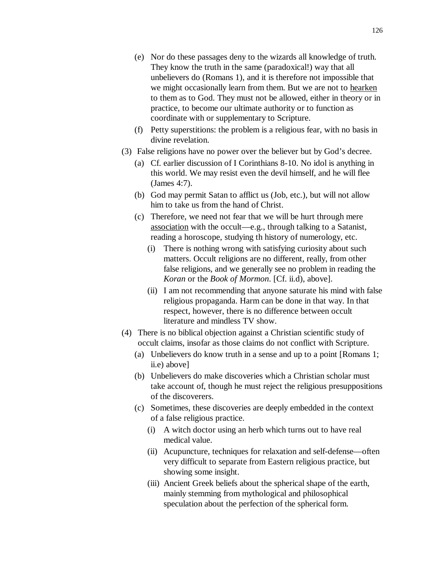- (e) Nor do these passages deny to the wizards all knowledge of truth. They know the truth in the same (paradoxical!) way that all unbelievers do (Romans 1), and it is therefore not impossible that we might occasionally learn from them. But we are not to hearken to them as to God. They must not be allowed, either in theory or in practice, to become our ultimate authority or to function as coordinate with or supplementary to Scripture.
- (f) Petty superstitions: the problem is a religious fear, with no basis in divine revelation.
- (3) False religions have no power over the believer but by God's decree.
	- (a) Cf. earlier discussion of I Corinthians 8-10. No idol is anything in this world. We may resist even the devil himself, and he will flee (James 4:7).
	- (b) God may permit Satan to afflict us (Job, etc.), but will not allow him to take us from the hand of Christ.
	- (c) Therefore, we need not fear that we will be hurt through mere association with the occult—e.g., through talking to a Satanist, reading a horoscope, studying th history of numerology, etc.
		- (i) There is nothing wrong with satisfying curiosity about such matters. Occult religions are no different, really, from other false religions, and we generally see no problem in reading the *Koran* or the *Book of Mormon*. [Cf. ii.d), above].
		- (ii) I am not recommending that anyone saturate his mind with false religious propaganda. Harm can be done in that way. In that respect, however, there is no difference between occult literature and mindless TV show.
- (4) There is no biblical objection against a Christian scientific study of occult claims, insofar as those claims do not conflict with Scripture.
	- (a) Unbelievers do know truth in a sense and up to a point [Romans 1; ii.e) above]
	- (b) Unbelievers do make discoveries which a Christian scholar must take account of, though he must reject the religious presuppositions of the discoverers.
	- (c) Sometimes, these discoveries are deeply embedded in the context of a false religious practice.
		- (i) A witch doctor using an herb which turns out to have real medical value.
		- (ii) Acupuncture, techniques for relaxation and self-defense—often very difficult to separate from Eastern religious practice, but showing some insight.
		- (iii) Ancient Greek beliefs about the spherical shape of the earth, mainly stemming from mythological and philosophical speculation about the perfection of the spherical form.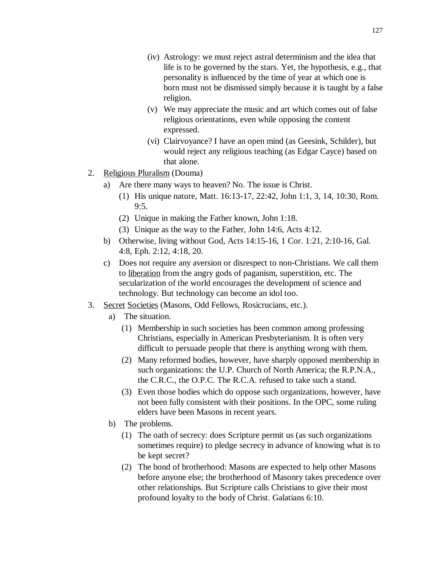- (iv) Astrology: we must reject astral determinism and the idea that life is to be governed by the stars. Yet, the hypothesis, e.g., that personality is influenced by the time of year at which one is born must not be dismissed simply because it is taught by a false religion.
- (v) We may appreciate the music and art which comes out of false religious orientations, even while opposing the content expressed.
- (vi) Clairvoyance? I have an open mind (as Geesink, Schilder), but would reject any religious teaching (as Edgar Cayce) based on that alone.
- 2. Religious Pluralism (Douma)
	- a) Are there many ways to heaven? No. The issue is Christ.
		- (1) His unique nature, Matt. 16:13-17, 22:42, John 1:1, 3, 14, 10:30, Rom.  $9:5.$
		- (2) Unique in making the Father known, John 1:18.
		- (3) Unique as the way to the Father, John 14:6, Acts 4:12.
	- b) Otherwise, living without God, Acts 14:15-16, 1 Cor. 1:21, 2:10-16, Gal. 4:8, Eph. 2:12, 4:18, 20.
	- c) Does not require any aversion or disrespect to non-Christians. We call them to liberation from the angry gods of paganism, superstition, etc. The secularization of the world encourages the development of science and technology. But technology can become an idol too.
- 3. Secret Societies (Masons, Odd Fellows, Rosicrucians, etc.).
	- a) The situation.
		- (1) Membership in such societies has been common among professing Christians, especially in American Presbyterianism. It is often very difficult to persuade people that there is anything wrong with them.
		- (2) Many reformed bodies, however, have sharply opposed membership in such organizations: the U.P. Church of North America; the R.P.N.A., the C.R.C., the O.P.C. The R.C.A. refused to take such a stand.
		- (3) Even those bodies which do oppose such organizations, however, have not been fully consistent with their positions. In the OPC, some ruling elders have been Masons in recent years.
	- b) The problems.
		- (1) The oath of secrecy: does Scripture permit us (as such organizations sometimes require) to pledge secrecy in advance of knowing what is to be kept secret?
		- (2) The bond of brotherhood: Masons are expected to help other Masons before anyone else; the brotherhood of Masonry takes precedence over other relationships. But Scripture calls Christians to give their most profound loyalty to the body of Christ. Galatians 6:10.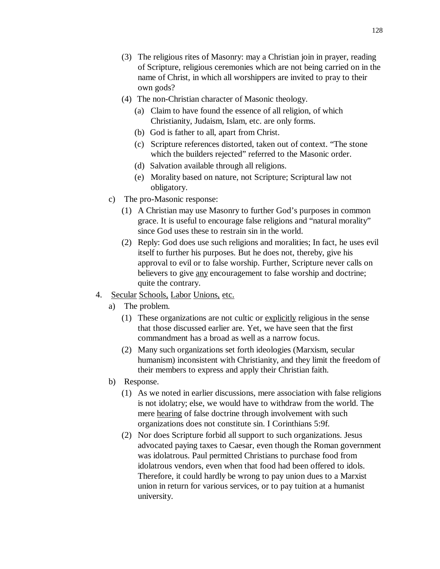- (3) The religious rites of Masonry: may a Christian join in prayer, reading of Scripture, religious ceremonies which are not being carried on in the name of Christ, in which all worshippers are invited to pray to their own gods?
- (4) The non-Christian character of Masonic theology.
	- (a) Claim to have found the essence of all religion, of which Christianity, Judaism, Islam, etc. are only forms.
	- (b) God is father to all, apart from Christ.
	- (c) Scripture references distorted, taken out of context. "The stone which the builders rejected" referred to the Masonic order.
	- (d) Salvation available through all religions.
	- (e) Morality based on nature, not Scripture; Scriptural law not obligatory.
- c) The pro-Masonic response:
	- (1) A Christian may use Masonry to further God's purposes in common grace. It is useful to encourage false religions and "natural morality" since God uses these to restrain sin in the world.
	- (2) Reply: God does use such religions and moralities; In fact, he uses evil itself to further his purposes. But he does not, thereby, give his approval to evil or to false worship. Further, Scripture never calls on believers to give any encouragement to false worship and doctrine; quite the contrary.
- 4. Secular Schools, Labor Unions, etc.
	- a) The problem.
		- (1) These organizations are not cultic or explicitly religious in the sense that those discussed earlier are. Yet, we have seen that the first commandment has a broad as well as a narrow focus.
		- (2) Many such organizations set forth ideologies (Marxism, secular humanism) inconsistent with Christianity, and they limit the freedom of their members to express and apply their Christian faith.
	- b) Response.
		- (1) As we noted in earlier discussions, mere association with false religions is not idolatry; else, we would have to withdraw from the world. The mere hearing of false doctrine through involvement with such organizations does not constitute sin. I Corinthians 5:9f.
		- (2) Nor does Scripture forbid all support to such organizations. Jesus advocated paying taxes to Caesar, even though the Roman government was idolatrous. Paul permitted Christians to purchase food from idolatrous vendors, even when that food had been offered to idols. Therefore, it could hardly be wrong to pay union dues to a Marxist union in return for various services, or to pay tuition at a humanist university.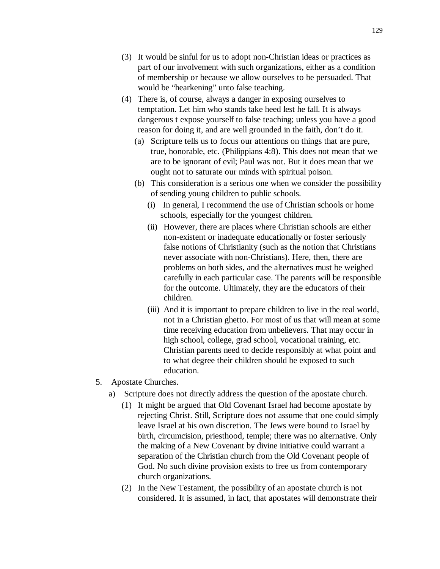- (3) It would be sinful for us to adopt non-Christian ideas or practices as part of our involvement with such organizations, either as a condition of membership or because we allow ourselves to be persuaded. That would be "hearkening" unto false teaching.
- (4) There is, of course, always a danger in exposing ourselves to temptation. Let him who stands take heed lest he fall. It is always dangerous t expose yourself to false teaching; unless you have a good reason for doing it, and are well grounded in the faith, don't do it.
	- (a) Scripture tells us to focus our attentions on things that are pure, true, honorable, etc. (Philippians 4:8). This does not mean that we are to be ignorant of evil; Paul was not. But it does mean that we ought not to saturate our minds with spiritual poison.
	- (b) This consideration is a serious one when we consider the possibility of sending young children to public schools.
		- (i) In general, I recommend the use of Christian schools or home schools, especially for the youngest children.
		- (ii) However, there are places where Christian schools are either non-existent or inadequate educationally or foster seriously false notions of Christianity (such as the notion that Christians never associate with non-Christians). Here, then, there are problems on both sides, and the alternatives must be weighed carefully in each particular case. The parents will be responsible for the outcome. Ultimately, they are the educators of their children.
		- (iii) And it is important to prepare children to live in the real world, not in a Christian ghetto. For most of us that will mean at some time receiving education from unbelievers. That may occur in high school, college, grad school, vocational training, etc. Christian parents need to decide responsibly at what point and to what degree their children should be exposed to such education.
- 5. Apostate Churches.
	- a) Scripture does not directly address the question of the apostate church.
		- (1) It might be argued that Old Covenant Israel had become apostate by rejecting Christ. Still, Scripture does not assume that one could simply leave Israel at his own discretion. The Jews were bound to Israel by birth, circumcision, priesthood, temple; there was no alternative. Only the making of a New Covenant by divine initiative could warrant a separation of the Christian church from the Old Covenant people of God. No such divine provision exists to free us from contemporary church organizations.
		- (2) In the New Testament, the possibility of an apostate church is not considered. It is assumed, in fact, that apostates will demonstrate their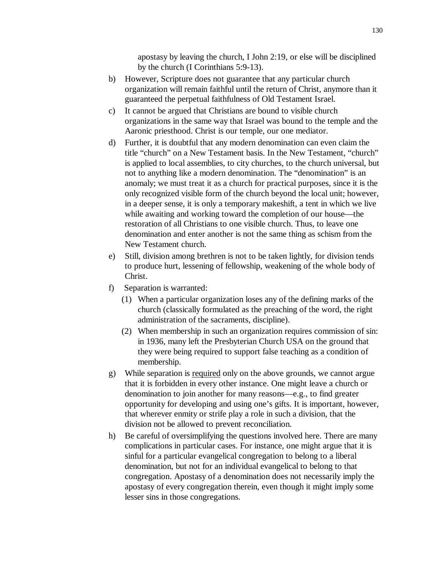apostasy by leaving the church, I John 2:19, or else will be disciplined by the church (I Corinthians 5:9-13).

- b) However, Scripture does not guarantee that any particular church organization will remain faithful until the return of Christ, anymore than it guaranteed the perpetual faithfulness of Old Testament Israel.
- c) It cannot be argued that Christians are bound to visible church organizations in the same way that Israel was bound to the temple and the Aaronic priesthood. Christ is our temple, our one mediator.
- d) Further, it is doubtful that any modern denomination can even claim the title "church" on a New Testament basis. In the New Testament, "church" is applied to local assemblies, to city churches, to the church universal, but not to anything like a modern denomination. The "denomination" is an anomaly; we must treat it as a church for practical purposes, since it is the only recognized visible form of the church beyond the local unit; however, in a deeper sense, it is only a temporary makeshift, a tent in which we live while awaiting and working toward the completion of our house—the restoration of all Christians to one visible church. Thus, to leave one denomination and enter another is not the same thing as schism from the New Testament church.
- e) Still, division among brethren is not to be taken lightly, for division tends to produce hurt, lessening of fellowship, weakening of the whole body of Christ.
- f) Separation is warranted:
	- (1) When a particular organization loses any of the defining marks of the church (classically formulated as the preaching of the word, the right administration of the sacraments, discipline).
	- (2) When membership in such an organization requires commission of sin: in 1936, many left the Presbyterian Church USA on the ground that they were being required to support false teaching as a condition of membership.
- g) While separation is required only on the above grounds, we cannot argue that it is forbidden in every other instance. One might leave a church or denomination to join another for many reasons—e.g., to find greater opportunity for developing and using one's gifts. It is important, however, that wherever enmity or strife play a role in such a division, that the division not be allowed to prevent reconciliation.
- h) Be careful of oversimplifying the questions involved here. There are many complications in particular cases. For instance, one might argue that it is sinful for a particular evangelical congregation to belong to a liberal denomination, but not for an individual evangelical to belong to that congregation. Apostasy of a denomination does not necessarily imply the apostasy of every congregation therein, even though it might imply some lesser sins in those congregations.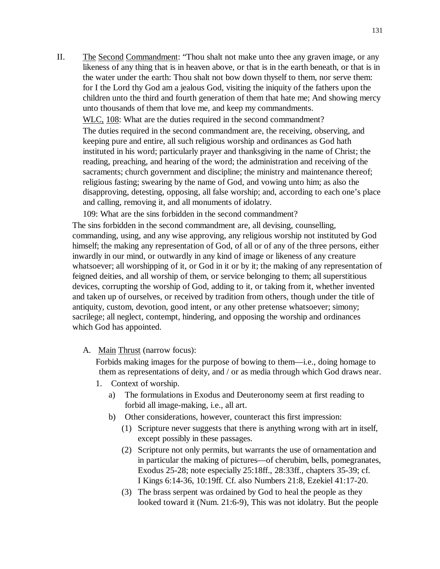II. The Second Commandment: "Thou shalt not make unto thee any graven image, or any likeness of any thing that is in heaven above, or that is in the earth beneath, or that is in the water under the earth: Thou shalt not bow down thyself to them, nor serve them: for I the Lord thy God am a jealous God, visiting the iniquity of the fathers upon the children unto the third and fourth generation of them that hate me; And showing mercy unto thousands of them that love me, and keep my commandments.

WLC, 108: What are the duties required in the second commandment?

The duties required in the second commandment are, the receiving, observing, and keeping pure and entire, all such religious worship and ordinances as God hath instituted in his word; particularly prayer and thanksgiving in the name of Christ; the reading, preaching, and hearing of the word; the administration and receiving of the sacraments; church government and discipline; the ministry and maintenance thereof; religious fasting; swearing by the name of God, and vowing unto him; as also the disapproving, detesting, opposing, all false worship; and, according to each one's place and calling, removing it, and all monuments of idolatry.

109: What are the sins forbidden in the second commandment?

The sins forbidden in the second commandment are, all devising, counselling, commanding, using, and any wise approving, any religious worship not instituted by God himself; the making any representation of God, of all or of any of the three persons, either inwardly in our mind, or outwardly in any kind of image or likeness of any creature whatsoever; all worshipping of it, or God in it or by it; the making of any representation of feigned deities, and all worship of them, or service belonging to them; all superstitious devices, corrupting the worship of God, adding to it, or taking from it, whether invented and taken up of ourselves, or received by tradition from others, though under the title of antiquity, custom, devotion, good intent, or any other pretense whatsoever; simony; sacrilege; all neglect, contempt, hindering, and opposing the worship and ordinances which God has appointed.

A. Main Thrust (narrow focus):

Forbids making images for the purpose of bowing to them—i.e., doing homage to them as representations of deity, and / or as media through which God draws near.

- 1. Context of worship.
	- a) The formulations in Exodus and Deuteronomy seem at first reading to forbid all image-making, i.e., all art.
	- b) Other considerations, however, counteract this first impression:
		- (1) Scripture never suggests that there is anything wrong with art in itself, except possibly in these passages.
		- (2) Scripture not only permits, but warrants the use of ornamentation and in particular the making of pictures—of cherubim, bells, pomegranates, Exodus 25-28; note especially 25:18ff., 28:33ff., chapters 35-39; cf. I Kings 6:14-36, 10:19ff. Cf. also Numbers 21:8, Ezekiel 41:17-20.
		- (3) The brass serpent was ordained by God to heal the people as they looked toward it (Num. 21:6-9), This was not idolatry. But the people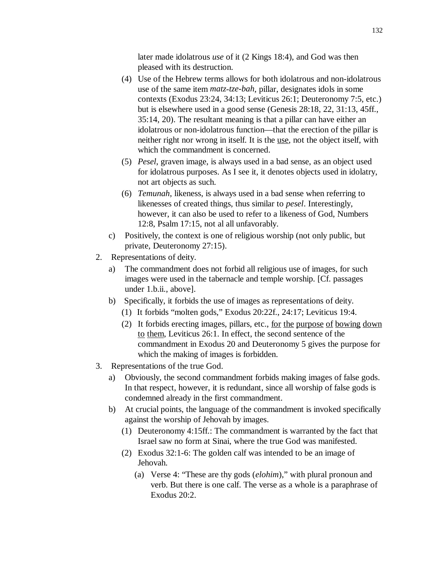later made idolatrous *use* of it (2 Kings 18:4), and God was then pleased with its destruction.

- (4) Use of the Hebrew terms allows for both idolatrous and non-idolatrous use of the same item *matz*-*tze-bah*, pillar, designates idols in some contexts (Exodus 23:24, 34:13; Leviticus 26:1; Deuteronomy 7:5, etc.) but is elsewhere used in a good sense (Genesis 28:18, 22, 31:13, 45ff., 35:14, 20). The resultant meaning is that a pillar can have either an idolatrous or non-idolatrous function—that the erection of the pillar is neither right nor wrong in itself. It is the use, not the object itself, with which the commandment is concerned.
- (5) *Pesel*, graven image, is always used in a bad sense, as an object used for idolatrous purposes. As I see it, it denotes objects used in idolatry, not art objects as such.
- (6) *Temunah*, likeness, is always used in a bad sense when referring to likenesses of created things, thus similar to *pesel*. Interestingly, however, it can also be used to refer to a likeness of God, Numbers 12:8, Psalm 17:15, not al all unfavorably.
- c) Positively, the context is one of religious worship (not only public, but private, Deuteronomy 27:15).
- 2. Representations of deity.
	- a) The commandment does not forbid all religious use of images, for such images were used in the tabernacle and temple worship. [Cf. passages under 1.b.ii., above].
	- b) Specifically, it forbids the use of images as representations of deity.
		- (1) It forbids "molten gods," Exodus 20:22f., 24:17; Leviticus 19:4.
		- (2) It forbids erecting images, pillars, etc., for the purpose of bowing down to them, Leviticus 26:1. In effect, the second sentence of the commandment in Exodus 20 and Deuteronomy 5 gives the purpose for which the making of images is forbidden.
- 3. Representations of the true God.
	- a) Obviously, the second commandment forbids making images of false gods. In that respect, however, it is redundant, since all worship of false gods is condemned already in the first commandment.
	- b) At crucial points, the language of the commandment is invoked specifically against the worship of Jehovah by images.
		- (1) Deuteronomy 4:15ff.: The commandment is warranted by the fact that Israel saw no form at Sinai, where the true God was manifested.
		- (2) Exodus 32:1-6: The golden calf was intended to be an image of Jehovah.
			- (a) Verse 4: "These are thy gods (*elohim*)," with plural pronoun and verb. But there is one calf. The verse as a whole is a paraphrase of Exodus 20:2.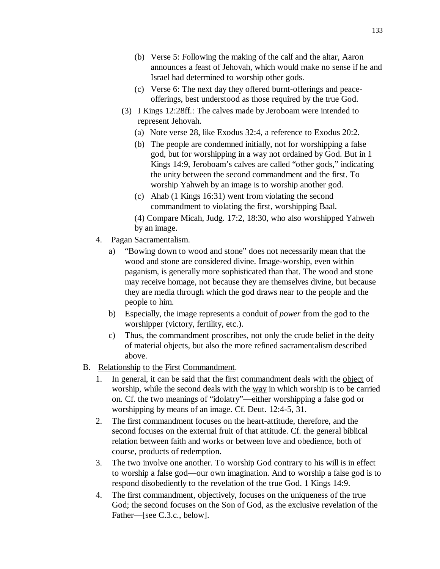- (c) Verse 6: The next day they offered burnt-offerings and peaceofferings, best understood as those required by the true God.
- (3) I Kings 12:28ff.: The calves made by Jeroboam were intended to represent Jehovah.
	- (a) Note verse 28, like Exodus 32:4, a reference to Exodus 20:2.
	- (b) The people are condemned initially, not for worshipping a false god, but for worshipping in a way not ordained by God. But in 1 Kings 14:9, Jeroboam's calves are called "other gods," indicating the unity between the second commandment and the first. To worship Yahweh by an image is to worship another god.
	- (c) Ahab (1 Kings 16:31) went from violating the second commandment to violating the first, worshipping Baal.
	- (4) Compare Micah, Judg. 17:2, 18:30, who also worshipped Yahweh by an image.
- 4. Pagan Sacramentalism.
	- a) "Bowing down to wood and stone" does not necessarily mean that the wood and stone are considered divine. Image-worship, even within paganism, is generally more sophisticated than that. The wood and stone may receive homage, not because they are themselves divine, but because they are media through which the god draws near to the people and the people to him.
	- b) Especially, the image represents a conduit of *power* from the god to the worshipper (victory, fertility, etc.).
	- c) Thus, the commandment proscribes, not only the crude belief in the deity of material objects, but also the more refined sacramentalism described above.
- B. Relationship to the First Commandment.
	- 1. In general, it can be said that the first commandment deals with the object of worship, while the second deals with the way in which worship is to be carried on. Cf. the two meanings of "idolatry"—either worshipping a false god or worshipping by means of an image. Cf. Deut. 12:4-5, 31.
	- 2. The first commandment focuses on the heart-attitude, therefore, and the second focuses on the external fruit of that attitude. Cf. the general biblical relation between faith and works or between love and obedience, both of course, products of redemption.
	- 3. The two involve one another. To worship God contrary to his will is in effect to worship a false god—our own imagination. And to worship a false god is to respond disobediently to the revelation of the true God. 1 Kings 14:9.
	- 4. The first commandment, objectively, focuses on the uniqueness of the true God; the second focuses on the Son of God, as the exclusive revelation of the Father—[see C.3.c., below].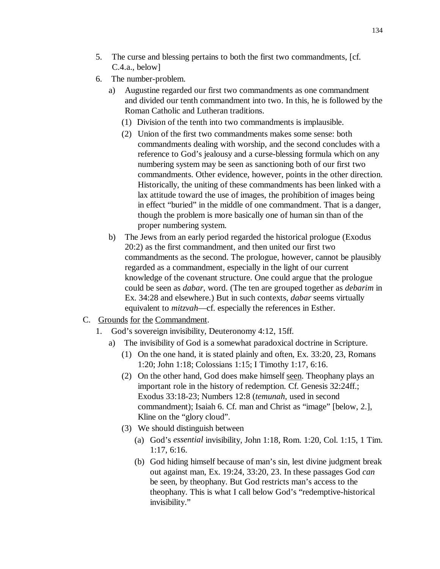- 5. The curse and blessing pertains to both the first two commandments, [cf. C.4.a., below]
- 6. The number-problem.
	- a) Augustine regarded our first two commandments as one commandment and divided our tenth commandment into two. In this, he is followed by the Roman Catholic and Lutheran traditions.
		- (1) Division of the tenth into two commandments is implausible.
		- (2) Union of the first two commandments makes some sense: both commandments dealing with worship, and the second concludes with a reference to God's jealousy and a curse-blessing formula which on any numbering system may be seen as sanctioning both of our first two commandments. Other evidence, however, points in the other direction. Historically, the uniting of these commandments has been linked with a lax attitude toward the use of images, the prohibition of images being in effect "buried" in the middle of one commandment. That is a danger, though the problem is more basically one of human sin than of the proper numbering system.
	- b) The Jews from an early period regarded the historical prologue (Exodus 20:2) as the first commandment, and then united our first two commandments as the second. The prologue, however, cannot be plausibly regarded as a commandment, especially in the light of our current knowledge of the covenant structure. One could argue that the prologue could be seen as *dabar*, word. (The ten are grouped together as *debarim* in Ex. 34:28 and elsewhere.) But in such contexts, *dabar* seems virtually equivalent to *mitzvah*—cf. especially the references in Esther.
- C. Grounds for the Commandment.
	- 1. God's sovereign invisibility, Deuteronomy 4:12, 15ff.
		- a) The invisibility of God is a somewhat paradoxical doctrine in Scripture.
			- (1) On the one hand, it is stated plainly and often, Ex. 33:20, 23, Romans 1:20; John 1:18; Colossians 1:15; I Timothy 1:17, 6:16.
			- (2) On the other hand, God does make himself seen. Theophany plays an important role in the history of redemption. Cf. Genesis 32:24ff.; Exodus 33:18-23; Numbers 12:8 (*temunah*, used in second commandment); Isaiah 6. Cf. man and Christ as "image" [below, 2.], Kline on the "glory cloud".
			- (3) We should distinguish between
				- (a) God's *essential* invisibility, John 1:18, Rom. 1:20, Col. 1:15, 1 Tim. 1:17, 6:16.
				- (b) God hiding himself because of man's sin, lest divine judgment break out against man, Ex. 19:24, 33:20, 23. In these passages God *can* be seen, by theophany. But God restricts man's access to the theophany. This is what I call below God's "redemptive-historical invisibility."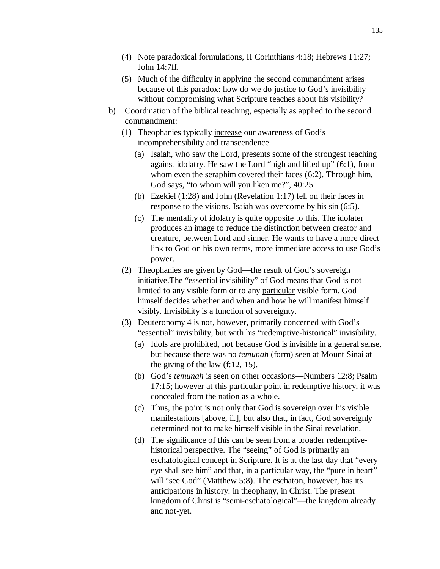- (4) Note paradoxical formulations, II Corinthians 4:18; Hebrews 11:27; John 14:7ff.
- (5) Much of the difficulty in applying the second commandment arises because of this paradox: how do we do justice to God's invisibility without compromising what Scripture teaches about his visibility?
- b) Coordination of the biblical teaching, especially as applied to the second commandment:
	- (1) Theophanies typically increase our awareness of God's incomprehensibility and transcendence.
		- (a) Isaiah, who saw the Lord, presents some of the strongest teaching against idolatry. He saw the Lord "high and lifted up" (6:1), from whom even the seraphim covered their faces (6:2). Through him, God says, "to whom will you liken me?", 40:25.
		- (b) Ezekiel (1:28) and John (Revelation 1:17) fell on their faces in response to the visions. Isaiah was overcome by his sin (6:5).
		- (c) The mentality of idolatry is quite opposite to this. The idolater produces an image to reduce the distinction between creator and creature, between Lord and sinner. He wants to have a more direct link to God on his own terms, more immediate access to use God's power.
	- (2) Theophanies are given by God—the result of God's sovereign initiative.The "essential invisibility" of God means that God is not limited to any visible form or to any particular visible form. God himself decides whether and when and how he will manifest himself visibly. Invisibility is a function of sovereignty.
	- (3) Deuteronomy 4 is not, however, primarily concerned with God's "essential" invisibility, but with his "redemptive-historical" invisibility.
		- (a) Idols are prohibited, not because God is invisible in a general sense, but because there was no *temunah* (form) seen at Mount Sinai at the giving of the law (f:12, 15).
		- (b) God's *temunah* is seen on other occasions—Numbers 12:8; Psalm 17:15; however at this particular point in redemptive history, it was concealed from the nation as a whole.
		- (c) Thus, the point is not only that God is sovereign over his visible manifestations [above, ii.], but also that, in fact, God sovereignly determined not to make himself visible in the Sinai revelation.
		- (d) The significance of this can be seen from a broader redemptivehistorical perspective. The "seeing" of God is primarily an eschatological concept in Scripture. It is at the last day that "every eye shall see him" and that, in a particular way, the "pure in heart" will "see God" (Matthew 5:8). The eschaton, however, has its anticipations in history: in theophany, in Christ. The present kingdom of Christ is "semi-eschatological"—the kingdom already and not-yet.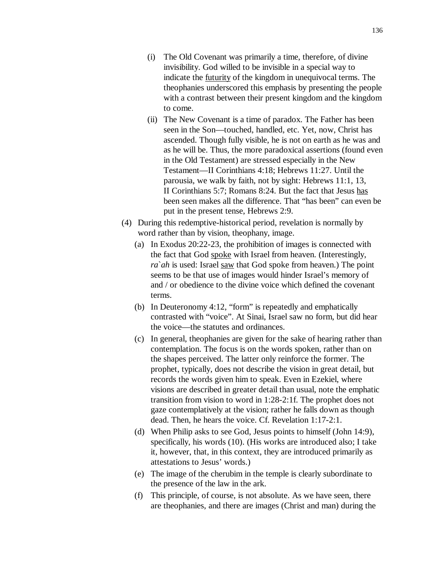- (i) The Old Covenant was primarily a time, therefore, of divine invisibility. God willed to be invisible in a special way to indicate the futurity of the kingdom in unequivocal terms. The theophanies underscored this emphasis by presenting the people with a contrast between their present kingdom and the kingdom to come.
- (ii) The New Covenant is a time of paradox. The Father has been seen in the Son—touched, handled, etc. Yet, now, Christ has ascended. Though fully visible, he is not on earth as he was and as he will be. Thus, the more paradoxical assertions (found even in the Old Testament) are stressed especially in the New Testament—II Corinthians 4:18; Hebrews 11:27. Until the parousia, we walk by faith, not by sight: Hebrews 11:1, 13, II Corinthians 5:7; Romans 8:24. But the fact that Jesus has been seen makes all the difference. That "has been" can even be put in the present tense, Hebrews 2:9.
- (4) During this redemptive-historical period, revelation is normally by word rather than by vision, theophany, image.
	- (a) In Exodus 20:22-23, the prohibition of images is connected with the fact that God spoke with Israel from heaven. (Interestingly, *ra*`*ah* is used: Israel saw that God spoke from heaven.) The point seems to be that use of images would hinder Israel's memory of and / or obedience to the divine voice which defined the covenant terms.
	- (b) In Deuteronomy 4:12, "form" is repeatedly and emphatically contrasted with "voice". At Sinai, Israel saw no form, but did hear the voice—the statutes and ordinances.
	- (c) In general, theophanies are given for the sake of hearing rather than contemplation. The focus is on the words spoken, rather than on the shapes perceived. The latter only reinforce the former. The prophet, typically, does not describe the vision in great detail, but records the words given him to speak. Even in Ezekiel, where visions are described in greater detail than usual, note the emphatic transition from vision to word in 1:28-2:1f. The prophet does not gaze contemplatively at the vision; rather he falls down as though dead. Then, he hears the voice. Cf. Revelation 1:17-2:1.
	- (d) When Philip asks to see God, Jesus points to himself (John 14:9), specifically, his words (10). (His works are introduced also; I take it, however, that, in this context, they are introduced primarily as attestations to Jesus' words.)
	- (e) The image of the cherubim in the temple is clearly subordinate to the presence of the law in the ark.
	- (f) This principle, of course, is not absolute. As we have seen, there are theophanies, and there are images (Christ and man) during the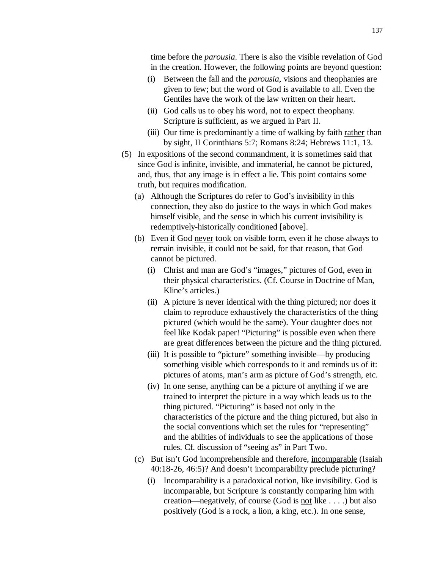time before the *parousia*. There is also the visible revelation of God in the creation. However, the following points are beyond question:

- (i) Between the fall and the *parousia*, visions and theophanies are given to few; but the word of God is available to all. Even the Gentiles have the work of the law written on their heart.
- (ii) God calls us to obey his word, not to expect theophany. Scripture is sufficient, as we argued in Part II.
- (iii) Our time is predominantly a time of walking by faith rather than by sight, II Corinthians 5:7; Romans 8:24; Hebrews 11:1, 13.
- (5) In expositions of the second commandment, it is sometimes said that since God is infinite, invisible, and immaterial, he cannot be pictured, and, thus, that any image is in effect a lie. This point contains some truth, but requires modification.
	- (a) Although the Scriptures do refer to God's invisibility in this connection, they also do justice to the ways in which God makes himself visible, and the sense in which his current invisibility is redemptively-historically conditioned [above].
	- (b) Even if God never took on visible form, even if he chose always to remain invisible, it could not be said, for that reason, that God cannot be pictured.
		- (i) Christ and man are God's "images," pictures of God, even in their physical characteristics. (Cf. Course in Doctrine of Man, Kline's articles.)
		- (ii) A picture is never identical with the thing pictured; nor does it claim to reproduce exhaustively the characteristics of the thing pictured (which would be the same). Your daughter does not feel like Kodak paper! "Picturing" is possible even when there are great differences between the picture and the thing pictured.
		- (iii) It is possible to "picture" something invisible—by producing something visible which corresponds to it and reminds us of it: pictures of atoms, man's arm as picture of God's strength, etc.
		- (iv) In one sense, anything can be a picture of anything if we are trained to interpret the picture in a way which leads us to the thing pictured. "Picturing" is based not only in the characteristics of the picture and the thing pictured, but also in the social conventions which set the rules for "representing" and the abilities of individuals to see the applications of those rules. Cf. discussion of "seeing as" in Part Two.
	- (c) But isn't God incomprehensible and therefore, incomparable (Isaiah 40:18-26, 46:5)? And doesn't incomparability preclude picturing?
		- (i) Incomparability is a paradoxical notion, like invisibility. God is incomparable, but Scripture is constantly comparing him with creation—negatively, of course (God is not like . . . .) but also positively (God is a rock, a lion, a king, etc.). In one sense,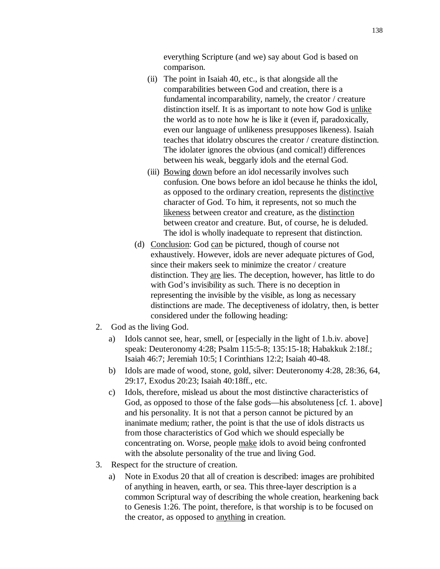everything Scripture (and we) say about God is based on comparison.

- (ii) The point in Isaiah 40, etc., is that alongside all the comparabilities between God and creation, there is a fundamental incomparability, namely, the creator / creature distinction itself. It is as important to note how God is unlike the world as to note how he is like it (even if, paradoxically, even our language of unlikeness presupposes likeness). Isaiah teaches that idolatry obscures the creator / creature distinction. The idolater ignores the obvious (and comical!) differences between his weak, beggarly idols and the eternal God.
- (iii) Bowing down before an idol necessarily involves such confusion. One bows before an idol because he thinks the idol, as opposed to the ordinary creation, represents the distinctive character of God. To him, it represents, not so much the likeness between creator and creature, as the distinction between creator and creature. But, of course, he is deluded. The idol is wholly inadequate to represent that distinction.
- (d) Conclusion: God can be pictured, though of course not exhaustively. However, idols are never adequate pictures of God, since their makers seek to minimize the creator / creature distinction. They are lies. The deception, however, has little to do with God's invisibility as such. There is no deception in representing the invisible by the visible, as long as necessary distinctions are made. The deceptiveness of idolatry, then, is better considered under the following heading:
- 2. God as the living God.
	- a) Idols cannot see, hear, smell, or [especially in the light of 1.b.iv. above] speak: Deuteronomy 4:28; Psalm 115:5-8; 135:15-18; Habakkuk 2:18f.; Isaiah 46:7; Jeremiah 10:5; I Corinthians 12:2; Isaiah 40-48.
	- b) Idols are made of wood, stone, gold, silver: Deuteronomy 4:28, 28:36, 64, 29:17, Exodus 20:23; Isaiah 40:18ff., etc.
	- c) Idols, therefore, mislead us about the most distinctive characteristics of God, as opposed to those of the false gods—his absoluteness [cf. 1. above] and his personality. It is not that a person cannot be pictured by an inanimate medium; rather, the point is that the use of idols distracts us from those characteristics of God which we should especially be concentrating on. Worse, people make idols to avoid being confronted with the absolute personality of the true and living God.
- 3. Respect for the structure of creation.
	- a) Note in Exodus 20 that all of creation is described: images are prohibited of anything in heaven, earth, or sea. This three-layer description is a common Scriptural way of describing the whole creation, hearkening back to Genesis 1:26. The point, therefore, is that worship is to be focused on the creator, as opposed to anything in creation.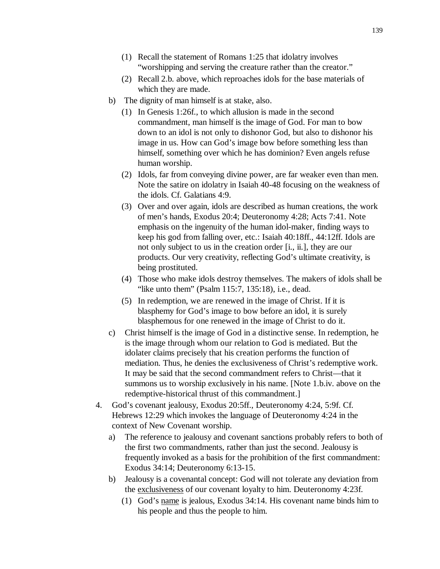- (1) Recall the statement of Romans 1:25 that idolatry involves "worshipping and serving the creature rather than the creator."
- (2) Recall 2.b. above, which reproaches idols for the base materials of which they are made.
- b) The dignity of man himself is at stake, also.
	- (1) In Genesis 1:26f., to which allusion is made in the second commandment, man himself is the image of God. For man to bow down to an idol is not only to dishonor God, but also to dishonor his image in us. How can God's image bow before something less than himself, something over which he has dominion? Even angels refuse human worship.
	- (2) Idols, far from conveying divine power, are far weaker even than men. Note the satire on idolatry in Isaiah 40-48 focusing on the weakness of the idols. Cf. Galatians 4:9.
	- (3) Over and over again, idols are described as human creations, the work of men's hands, Exodus 20:4; Deuteronomy 4:28; Acts 7:41. Note emphasis on the ingenuity of the human idol-maker, finding ways to keep his god from falling over, etc.: Isaiah 40:18ff., 44:12ff. Idols are not only subject to us in the creation order [i., ii.], they are our products. Our very creativity, reflecting God's ultimate creativity, is being prostituted.
	- (4) Those who make idols destroy themselves. The makers of idols shall be "like unto them" (Psalm 115:7, 135:18), i.e., dead.
	- (5) In redemption, we are renewed in the image of Christ. If it is blasphemy for God's image to bow before an idol, it is surely blasphemous for one renewed in the image of Christ to do it.
- c) Christ himself is the image of God in a distinctive sense. In redemption, he is the image through whom our relation to God is mediated. But the idolater claims precisely that his creation performs the function of mediation. Thus, he denies the exclusiveness of Christ's redemptive work. It may be said that the second commandment refers to Christ—that it summons us to worship exclusively in his name. [Note 1.b.iv. above on the redemptive-historical thrust of this commandment.]
- 4. God's covenant jealousy, Exodus 20:5ff., Deuteronomy 4:24, 5:9f. Cf. Hebrews 12:29 which invokes the language of Deuteronomy 4:24 in the context of New Covenant worship.
	- a) The reference to jealousy and covenant sanctions probably refers to both of the first two commandments, rather than just the second. Jealousy is frequently invoked as a basis for the prohibition of the first commandment: Exodus 34:14; Deuteronomy 6:13-15.
	- b) Jealousy is a covenantal concept: God will not tolerate any deviation from the exclusiveness of our covenant loyalty to him. Deuteronomy 4:23f.
		- (1) God's name is jealous, Exodus 34:14. His covenant name binds him to his people and thus the people to him.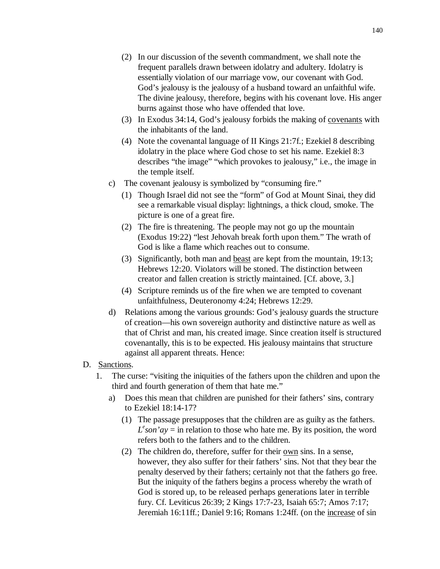- (2) In our discussion of the seventh commandment, we shall note the frequent parallels drawn between idolatry and adultery. Idolatry is essentially violation of our marriage vow, our covenant with God. God's jealousy is the jealousy of a husband toward an unfaithful wife. The divine jealousy, therefore, begins with his covenant love. His anger burns against those who have offended that love.
- (3) In Exodus 34:14, God's jealousy forbids the making of covenants with the inhabitants of the land.
- (4) Note the covenantal language of II Kings 21:7f.; Ezekiel 8 describing idolatry in the place where God chose to set his name. Ezekiel 8:3 describes "the image" "which provokes to jealousy," i.e., the image in the temple itself.
- c) The covenant jealousy is symbolized by "consuming fire."
	- (1) Though Israel did not see the "form" of God at Mount Sinai, they did see a remarkable visual display: lightnings, a thick cloud, smoke. The picture is one of a great fire.
	- (2) The fire is threatening. The people may not go up the mountain (Exodus 19:22) "lest Jehovah break forth upon them." The wrath of God is like a flame which reaches out to consume.
	- (3) Significantly, both man and beast are kept from the mountain, 19:13; Hebrews 12:20. Violators will be stoned. The distinction between creator and fallen creation is strictly maintained. [Cf. above, 3.]
	- (4) Scripture reminds us of the fire when we are tempted to covenant unfaithfulness, Deuteronomy 4:24; Hebrews 12:29.
- d) Relations among the various grounds: God's jealousy guards the structure of creation—his own sovereign authority and distinctive nature as well as that of Christ and man, his created image. Since creation itself is structured covenantally, this is to be expected. His jealousy maintains that structure against all apparent threats. Hence:
- D. Sanctions.
	- 1. The curse: "visiting the iniquities of the fathers upon the children and upon the third and fourth generation of them that hate me."
		- a) Does this mean that children are punished for their fathers' sins, contrary to Ezekiel 18:14-17?
			- (1) The passage presupposes that the children are as guilty as the fathers.  $L<sup>e</sup>$  *son'ay* = in relation to those who hate me. By its position, the word refers both to the fathers and to the children.
			- (2) The children do, therefore, suffer for their own sins. In a sense, however, they also suffer for their fathers' sins. Not that they bear the penalty deserved by their fathers; certainly not that the fathers go free. But the iniquity of the fathers begins a process whereby the wrath of God is stored up, to be released perhaps generations later in terrible fury. Cf. Leviticus 26:39; 2 Kings 17:7-23, Isaiah 65:7; Amos 7:17; Jeremiah 16:11ff.; Daniel 9:16; Romans 1:24ff. (on the increase of sin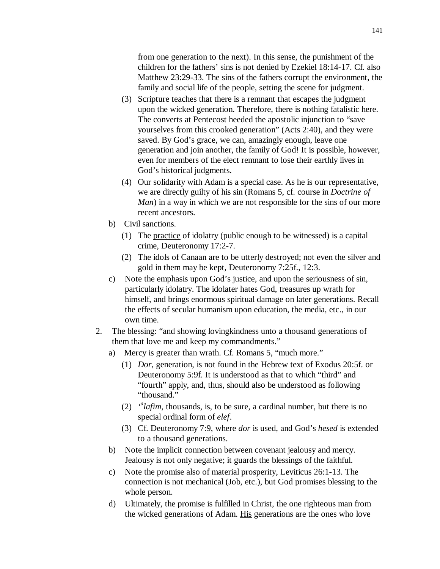from one generation to the next). In this sense, the punishment of the children for the fathers' sins is not denied by Ezekiel 18:14-17. Cf. also Matthew 23:29-33. The sins of the fathers corrupt the environment, the family and social life of the people, setting the scene for judgment.

- (3) Scripture teaches that there is a remnant that escapes the judgment upon the wicked generation. Therefore, there is nothing fatalistic here. The converts at Pentecost heeded the apostolic injunction to "save yourselves from this crooked generation" (Acts 2:40), and they were saved. By God's grace, we can, amazingly enough, leave one generation and join another, the family of God! It is possible, however, even for members of the elect remnant to lose their earthly lives in God's historical judgments.
- (4) Our solidarity with Adam is a special case. As he is our representative, we are directly guilty of his sin (Romans 5, cf. course in *Doctrine of Man*) in a way in which we are not responsible for the sins of our more recent ancestors.
- b) Civil sanctions.
	- (1) The practice of idolatry (public enough to be witnessed) is a capital crime, Deuteronomy 17:2-7.
	- (2) The idols of Canaan are to be utterly destroyed; not even the silver and gold in them may be kept, Deuteronomy 7:25f., 12:3.
- c) Note the emphasis upon God's justice, and upon the seriousness of sin, particularly idolatry. The idolater hates God, treasures up wrath for himself, and brings enormous spiritual damage on later generations. Recall the effects of secular humanism upon education, the media, etc., in our own time.
- 2. The blessing: "and showing lovingkindness unto a thousand generations of them that love me and keep my commandments."
	- a) Mercy is greater than wrath. Cf. Romans 5, "much more."
		- (1) *Dor*, generation, is not found in the Hebrew text of Exodus 20:5f. or Deuteronomy 5:9f. It is understood as that to which "third" and "fourth" apply, and, thus, should also be understood as following "thousand."
		- $(2)$  <sup>*a*</sup>lafim, thousands, is, to be sure, a cardinal number, but there is no special ordinal form of *elef*.
		- (3) Cf. Deuteronomy 7:9, where *dor* is used, and God's *hesed* is extended to a thousand generations.
	- b) Note the implicit connection between covenant jealousy and mercy. Jealousy is not only negative; it guards the blessings of the faithful.
	- c) Note the promise also of material prosperity, Leviticus 26:1-13. The connection is not mechanical (Job, etc.), but God promises blessing to the whole person.
	- d) Ultimately, the promise is fulfilled in Christ, the one righteous man from the wicked generations of Adam. His generations are the ones who love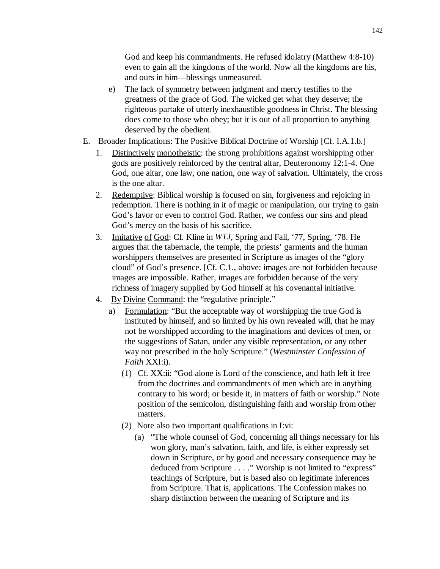God and keep his commandments. He refused idolatry (Matthew 4:8-10) even to gain all the kingdoms of the world. Now all the kingdoms are his, and ours in him—blessings unmeasured.

- e) The lack of symmetry between judgment and mercy testifies to the greatness of the grace of God. The wicked get what they deserve; the righteous partake of utterly inexhaustible goodness in Christ. The blessing does come to those who obey; but it is out of all proportion to anything deserved by the obedient.
- E. Broader Implications: The Positive Biblical Doctrine of Worship [Cf. I.A.1.b.]
	- 1. Distinctively monotheistic: the strong prohibitions against worshipping other gods are positively reinforced by the central altar, Deuteronomy 12:1-4. One God, one altar, one law, one nation, one way of salvation. Ultimately, the cross is the one altar.
	- 2. Redemptive: Biblical worship is focused on sin, forgiveness and rejoicing in redemption. There is nothing in it of magic or manipulation, our trying to gain God's favor or even to control God. Rather, we confess our sins and plead God's mercy on the basis of his sacrifice.
	- 3. Imitative of God: Cf. Kline in *WTJ*, Spring and Fall, '77, Spring, '78. He argues that the tabernacle, the temple, the priests' garments and the human worshippers themselves are presented in Scripture as images of the "glory cloud" of God's presence. [Cf. C.1., above: images are not forbidden because images are impossible. Rather, images are forbidden because of the very richness of imagery supplied by God himself at his covenantal initiative.
	- 4. By Divine Command: the "regulative principle."
		- a) Formulation: "But the acceptable way of worshipping the true God is instituted by himself, and so limited by his own revealed will, that he may not be worshipped according to the imaginations and devices of men, or the suggestions of Satan, under any visible representation, or any other way not prescribed in the holy Scripture." (*Westminster Confession of Faith* XXI:i).
			- (1) Cf. XX:ii: "God alone is Lord of the conscience, and hath left it free from the doctrines and commandments of men which are in anything contrary to his word; or beside it, in matters of faith or worship." Note position of the semicolon, distinguishing faith and worship from other matters.
			- (2) Note also two important qualifications in I:vi:
				- (a) "The whole counsel of God, concerning all things necessary for his won glory, man's salvation, faith, and life, is either expressly set down in Scripture, or by good and necessary consequence may be deduced from Scripture . . . ." Worship is not limited to "express" teachings of Scripture, but is based also on legitimate inferences from Scripture. That is, applications. The Confession makes no sharp distinction between the meaning of Scripture and its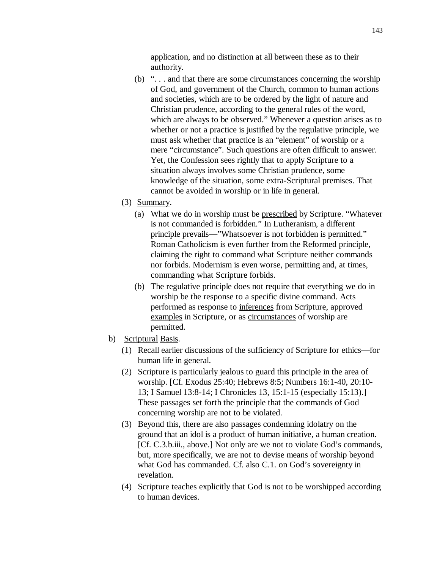application, and no distinction at all between these as to their authority.

- (b) ". . . and that there are some circumstances concerning the worship of God, and government of the Church, common to human actions and societies, which are to be ordered by the light of nature and Christian prudence, according to the general rules of the word, which are always to be observed." Whenever a question arises as to whether or not a practice is justified by the regulative principle, we must ask whether that practice is an "element" of worship or a mere "circumstance". Such questions are often difficult to answer. Yet, the Confession sees rightly that to apply Scripture to a situation always involves some Christian prudence, some knowledge of the situation, some extra-Scriptural premises. That cannot be avoided in worship or in life in general.
- (3) Summary.
	- (a) What we do in worship must be prescribed by Scripture. "Whatever is not commanded is forbidden." In Lutheranism, a different principle prevails—"Whatsoever is not forbidden is permitted." Roman Catholicism is even further from the Reformed principle, claiming the right to command what Scripture neither commands nor forbids. Modernism is even worse, permitting and, at times, commanding what Scripture forbids.
	- (b) The regulative principle does not require that everything we do in worship be the response to a specific divine command. Acts performed as response to inferences from Scripture, approved examples in Scripture, or as circumstances of worship are permitted.
- b) Scriptural Basis.
	- (1) Recall earlier discussions of the sufficiency of Scripture for ethics—for human life in general.
	- (2) Scripture is particularly jealous to guard this principle in the area of worship. [Cf. Exodus 25:40; Hebrews 8:5; Numbers 16:1-40, 20:10- 13; I Samuel 13:8-14; I Chronicles 13, 15:1-15 (especially 15:13).] These passages set forth the principle that the commands of God concerning worship are not to be violated.
	- (3) Beyond this, there are also passages condemning idolatry on the ground that an idol is a product of human initiative, a human creation. [Cf. C.3.b.iii., above.] Not only are we not to violate God's commands, but, more specifically, we are not to devise means of worship beyond what God has commanded. Cf. also C.1. on God's sovereignty in revelation.
	- (4) Scripture teaches explicitly that God is not to be worshipped according to human devices.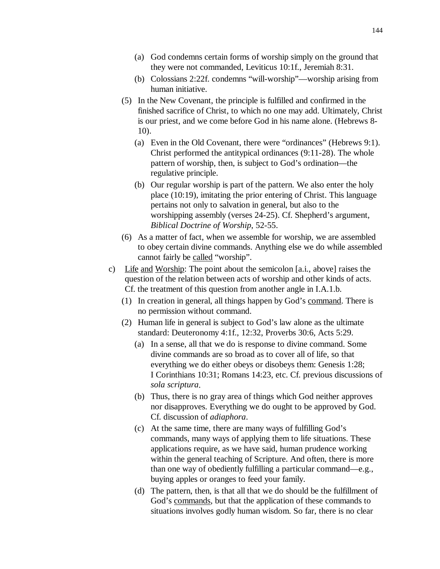- (a) God condemns certain forms of worship simply on the ground that they were not commanded, Leviticus 10:1f., Jeremiah 8:31.
- (b) Colossians 2:22f. condemns "will-worship"—worship arising from human initiative.
- (5) In the New Covenant, the principle is fulfilled and confirmed in the finished sacrifice of Christ, to which no one may add. Ultimately, Christ is our priest, and we come before God in his name alone. (Hebrews 8- 10).
	- (a) Even in the Old Covenant, there were "ordinances" (Hebrews 9:1). Christ performed the antitypical ordinances (9:11-28). The whole pattern of worship, then, is subject to God's ordination—the regulative principle.
	- (b) Our regular worship is part of the pattern. We also enter the holy place (10:19), imitating the prior entering of Christ. This language pertains not only to salvation in general, but also to the worshipping assembly (verses 24-25). Cf. Shepherd's argument, *Biblical Doctrine of Worship*, 52-55.
- (6) As a matter of fact, when we assemble for worship, we are assembled to obey certain divine commands. Anything else we do while assembled cannot fairly be called "worship".
- c) Life and Worship: The point about the semicolon [a.i., above] raises the question of the relation between acts of worship and other kinds of acts. Cf. the treatment of this question from another angle in I.A.1.b.
	- (1) In creation in general, all things happen by God's command. There is no permission without command.
	- (2) Human life in general is subject to God's law alone as the ultimate standard: Deuteronomy 4:1f., 12:32, Proverbs 30:6, Acts 5:29.
		- (a) In a sense, all that we do is response to divine command. Some divine commands are so broad as to cover all of life, so that everything we do either obeys or disobeys them: Genesis 1:28; I Corinthians 10:31; Romans 14:23, etc. Cf. previous discussions of *sola scriptura*.
		- (b) Thus, there is no gray area of things which God neither approves nor disapproves. Everything we do ought to be approved by God. Cf. discussion of *adiaphora*.
		- (c) At the same time, there are many ways of fulfilling God's commands, many ways of applying them to life situations. These applications require, as we have said, human prudence working within the general teaching of Scripture. And often, there is more than one way of obediently fulfilling a particular command—e.g., buying apples or oranges to feed your family.
		- (d) The pattern, then, is that all that we do should be the fulfillment of God's commands, but that the application of these commands to situations involves godly human wisdom. So far, there is no clear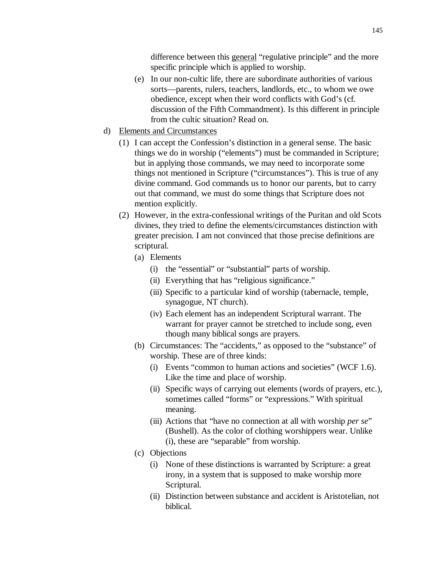difference between this general "regulative principle" and the more specific principle which is applied to worship.

- (e) In our non-cultic life, there are subordinate authorities of various sorts—parents, rulers, teachers, landlords, etc., to whom we owe obedience, except when their word conflicts with God's (cf. discussion of the Fifth Commandment). Is this different in principle from the cultic situation? Read on.
- d) Elements and Circumstances
	- (1) I can accept the Confession's distinction in a general sense. The basic things we do in worship ("elements") must be commanded in Scripture; but in applying those commands, we may need to incorporate some things not mentioned in Scripture ("circumstances"). This is true of any divine command. God commands us to honor our parents, but to carry out that command, we must do some things that Scripture does not mention explicitly.
	- (2) However, in the extra-confessional writings of the Puritan and old Scots divines, they tried to define the elements/circumstances distinction with greater precision. I am not convinced that those precise definitions are scriptural.
		- (a) Elements
			- (i) the "essential" or "substantial" parts of worship.
			- (ii) Everything that has "religious significance."
			- (iii) Specific to a particular kind of worship (tabernacle, temple, synagogue, NT church).
			- (iv) Each element has an independent Scriptural warrant. The warrant for prayer cannot be stretched to include song, even though many biblical songs are prayers.
		- (b) Circumstances: The "accidents," as opposed to the "substance" of worship. These are of three kinds:
			- (i) Events "common to human actions and societies" (WCF 1.6). Like the time and place of worship.
			- (ii) Specific ways of carrying out elements (words of prayers, etc.), sometimes called "forms" or "expressions." With spiritual meaning.
			- (iii) Actions that "have no connection at all with worship *per se*" (Bushell). As the color of clothing worshippers wear. Unlike (i), these are "separable" from worship.
		- (c) Objections
			- (i) None of these distinctions is warranted by Scripture: a great irony, in a system that is supposed to make worship more Scriptural.
			- (ii) Distinction between substance and accident is Aristotelian, not biblical.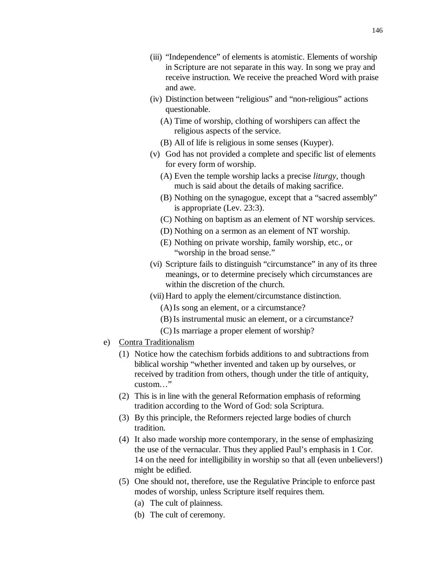- (iii) "Independence" of elements is atomistic. Elements of worship in Scripture are not separate in this way. In song we pray and receive instruction. We receive the preached Word with praise and awe.
- (iv) Distinction between "religious" and "non-religious" actions questionable.
	- (A) Time of worship, clothing of worshipers can affect the religious aspects of the service.
	- (B) All of life is religious in some senses (Kuyper).
- (v) God has not provided a complete and specific list of elements for every form of worship.
	- (A) Even the temple worship lacks a precise *liturgy*, though much is said about the details of making sacrifice.
	- (B) Nothing on the synagogue, except that a "sacred assembly" is appropriate (Lev. 23:3).
	- (C) Nothing on baptism as an element of NT worship services.
	- (D) Nothing on a sermon as an element of NT worship.
	- (E) Nothing on private worship, family worship, etc., or "worship in the broad sense."
- (vi) Scripture fails to distinguish "circumstance" in any of its three meanings, or to determine precisely which circumstances are within the discretion of the church.
- (vii) Hard to apply the element/circumstance distinction.
	- (A) Is song an element, or a circumstance?
	- (B) Is instrumental music an element, or a circumstance?
	- (C) Is marriage a proper element of worship?
- e) Contra Traditionalism
	- (1) Notice how the catechism forbids additions to and subtractions from biblical worship "whether invented and taken up by ourselves, or received by tradition from others, though under the title of antiquity, custom…"
	- (2) This is in line with the general Reformation emphasis of reforming tradition according to the Word of God: sola Scriptura.
	- (3) By this principle, the Reformers rejected large bodies of church tradition.
	- (4) It also made worship more contemporary, in the sense of emphasizing the use of the vernacular. Thus they applied Paul's emphasis in 1 Cor. 14 on the need for intelligibility in worship so that all (even unbelievers!) might be edified.
	- (5) One should not, therefore, use the Regulative Principle to enforce past modes of worship, unless Scripture itself requires them.
		- (a) The cult of plainness.
		- (b) The cult of ceremony.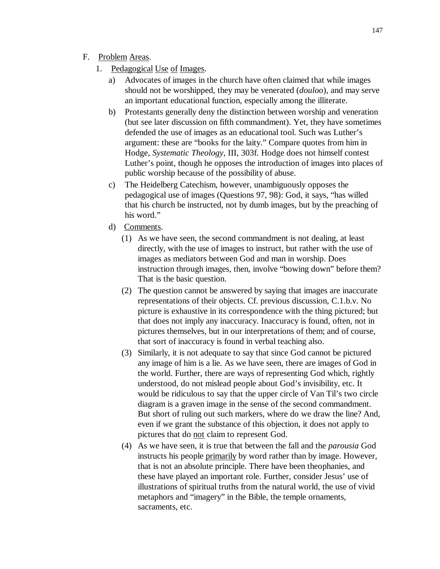## F. Problem Areas.

- 1. Pedagogical Use of Images.
	- a) Advocates of images in the church have often claimed that while images should not be worshipped, they may be venerated (*douloo*), and may serve an important educational function, especially among the illiterate.
	- b) Protestants generally deny the distinction between worship and veneration (but see later discussion on fifth commandment). Yet, they have sometimes defended the use of images as an educational tool. Such was Luther's argument: these are "books for the laity." Compare quotes from him in Hodge, *Systematic Theology*, III, 303f. Hodge does not himself contest Luther's point, though he opposes the introduction of images into places of public worship because of the possibility of abuse.
	- c) The Heidelberg Catechism, however, unambiguously opposes the pedagogical use of images (Questions 97, 98): God, it says, "has willed that his church be instructed, not by dumb images, but by the preaching of his word."
	- d) Comments.
		- (1) As we have seen, the second commandment is not dealing, at least directly, with the use of images to instruct, but rather with the use of images as mediators between God and man in worship. Does instruction through images, then, involve "bowing down" before them? That is the basic question.
		- (2) The question cannot be answered by saying that images are inaccurate representations of their objects. Cf. previous discussion, C.1.b.v. No picture is exhaustive in its correspondence with the thing pictured; but that does not imply any inaccuracy. Inaccuracy is found, often, not in pictures themselves, but in our interpretations of them; and of course, that sort of inaccuracy is found in verbal teaching also.
		- (3) Similarly, it is not adequate to say that since God cannot be pictured any image of him is a lie. As we have seen, there are images of God in the world. Further, there are ways of representing God which, rightly understood, do not mislead people about God's invisibility, etc. It would be ridiculous to say that the upper circle of Van Til's two circle diagram is a graven image in the sense of the second commandment. But short of ruling out such markers, where do we draw the line? And, even if we grant the substance of this objection, it does not apply to pictures that do not claim to represent God.
		- (4) As we have seen, it is true that between the fall and the *parousia* God instructs his people primarily by word rather than by image. However, that is not an absolute principle. There have been theophanies, and these have played an important role. Further, consider Jesus' use of illustrations of spiritual truths from the natural world, the use of vivid metaphors and "imagery" in the Bible, the temple ornaments, sacraments, etc.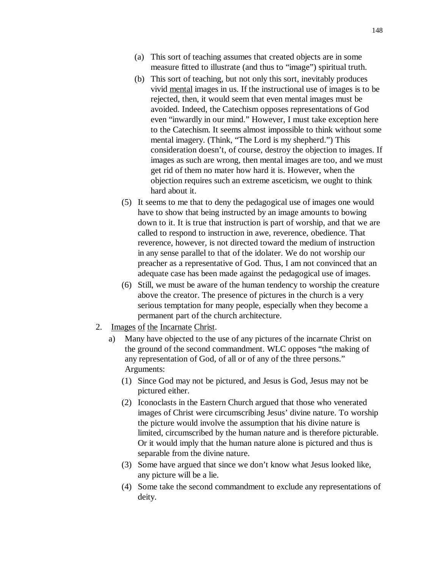- (a) This sort of teaching assumes that created objects are in some measure fitted to illustrate (and thus to "image") spiritual truth.
- (b) This sort of teaching, but not only this sort, inevitably produces vivid mental images in us. If the instructional use of images is to be rejected, then, it would seem that even mental images must be avoided. Indeed, the Catechism opposes representations of God even "inwardly in our mind." However, I must take exception here to the Catechism. It seems almost impossible to think without some mental imagery. (Think, "The Lord is my shepherd.") This consideration doesn't, of course, destroy the objection to images. If images as such are wrong, then mental images are too, and we must get rid of them no mater how hard it is. However, when the objection requires such an extreme asceticism, we ought to think hard about it.
- (5) It seems to me that to deny the pedagogical use of images one would have to show that being instructed by an image amounts to bowing down to it. It is true that instruction is part of worship, and that we are called to respond to instruction in awe, reverence, obedience. That reverence, however, is not directed toward the medium of instruction in any sense parallel to that of the idolater. We do not worship our preacher as a representative of God. Thus, I am not convinced that an adequate case has been made against the pedagogical use of images.
- (6) Still, we must be aware of the human tendency to worship the creature above the creator. The presence of pictures in the church is a very serious temptation for many people, especially when they become a permanent part of the church architecture.
- 2. Images of the Incarnate Christ.
	- a) Many have objected to the use of any pictures of the incarnate Christ on the ground of the second commandment. WLC opposes "the making of any representation of God, of all or of any of the three persons." Arguments:
		- (1) Since God may not be pictured, and Jesus is God, Jesus may not be pictured either.
		- (2) Iconoclasts in the Eastern Church argued that those who venerated images of Christ were circumscribing Jesus' divine nature. To worship the picture would involve the assumption that his divine nature is limited, circumscribed by the human nature and is therefore picturable. Or it would imply that the human nature alone is pictured and thus is separable from the divine nature.
		- (3) Some have argued that since we don't know what Jesus looked like, any picture will be a lie.
		- (4) Some take the second commandment to exclude any representations of deity.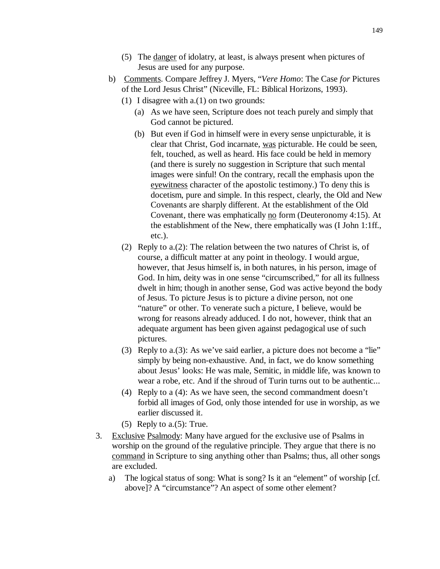- (5) The danger of idolatry, at least, is always present when pictures of Jesus are used for any purpose.
- b) Comments. Compare Jeffrey J. Myers, "*Vere Homo*: The Case *for* Pictures of the Lord Jesus Christ" (Niceville, FL: Biblical Horizons, 1993).
	- (1) I disagree with a.(1) on two grounds:
		- (a) As we have seen, Scripture does not teach purely and simply that God cannot be pictured.
		- (b) But even if God in himself were in every sense unpicturable, it is clear that Christ, God incarnate, was picturable. He could be seen, felt, touched, as well as heard. His face could be held in memory (and there is surely no suggestion in Scripture that such mental images were sinful! On the contrary, recall the emphasis upon the eyewitness character of the apostolic testimony.) To deny this is docetism, pure and simple. In this respect, clearly, the Old and New Covenants are sharply different. At the establishment of the Old Covenant, there was emphatically no form (Deuteronomy 4:15). At the establishment of the New, there emphatically was (I John 1:1ff., etc.).
	- (2) Reply to a.(2): The relation between the two natures of Christ is, of course, a difficult matter at any point in theology. I would argue, however, that Jesus himself is, in both natures, in his person, image of God. In him, deity was in one sense "circumscribed," for all its fullness dwelt in him; though in another sense, God was active beyond the body of Jesus. To picture Jesus is to picture a divine person, not one "nature" or other. To venerate such a picture, I believe, would be wrong for reasons already adduced. I do not, however, think that an adequate argument has been given against pedagogical use of such pictures.
	- (3) Reply to a.(3): As we've said earlier, a picture does not become a "lie" simply by being non-exhaustive. And, in fact, we do know something about Jesus' looks: He was male, Semitic, in middle life, was known to wear a robe, etc. And if the shroud of Turin turns out to be authentic...
	- (4) Reply to a (4): As we have seen, the second commandment doesn't forbid all images of God, only those intended for use in worship, as we earlier discussed it.
	- (5) Reply to a. $(5)$ : True.
- 3. Exclusive Psalmody: Many have argued for the exclusive use of Psalms in worship on the ground of the regulative principle. They argue that there is no command in Scripture to sing anything other than Psalms; thus, all other songs are excluded.
	- a) The logical status of song: What is song? Is it an "element" of worship [cf. above]? A "circumstance"? An aspect of some other element?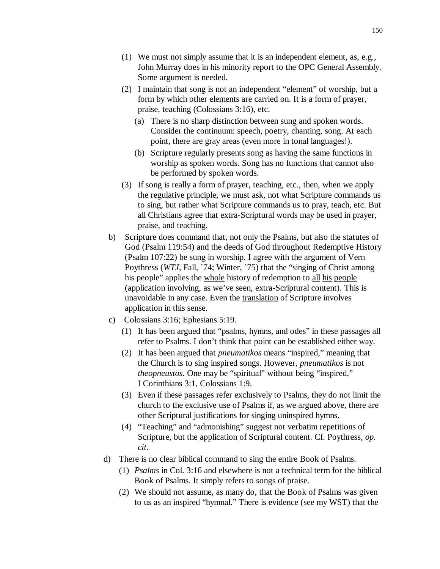- (1) We must not simply assume that it is an independent element, as, e.g., John Murray does in his minority report to the OPC General Assembly. Some argument is needed.
- (2) I maintain that song is not an independent "element" of worship, but a form by which other elements are carried on. It is a form of prayer, praise, teaching (Colossians 3:16), etc.
	- (a) There is no sharp distinction between sung and spoken words. Consider the continuum: speech, poetry, chanting, song. At each point, there are gray areas (even more in tonal languages!).
	- (b) Scripture regularly presents song as having the same functions in worship as spoken words. Song has no functions that cannot also be performed by spoken words.
- (3) If song is really a form of prayer, teaching, etc., then, when we apply the regulative principle, we must ask, not what Scripture commands us to sing, but rather what Scripture commands us to pray, teach, etc. But all Christians agree that extra-Scriptural words may be used in prayer, praise, and teaching.
- b) Scripture does command that, not only the Psalms, but also the statutes of God (Psalm 119:54) and the deeds of God throughout Redemptive History (Psalm 107:22) be sung in worship. I agree with the argument of Vern Poythress (*WTJ*, Fall, `74; Winter, `75) that the "singing of Christ among his people" applies the whole history of redemption to all his people (application involving, as we've seen, extra-Scriptural content). This is unavoidable in any case. Even the translation of Scripture involves application in this sense.
- c) Colossians 3:16; Ephesians 5:19.
	- (1) It has been argued that "psalms, hymns, and odes" in these passages all refer to Psalms. I don't think that point can be established either way.
	- (2) It has been argued that *pneumatikos* means "inspired," meaning that the Church is to sing inspired songs. However, *pneumatikos* is not *theopneustos*. One may be "spiritual" without being "inspired," I Corinthians 3:1, Colossians 1:9.
	- (3) Even if these passages refer exclusively to Psalms, they do not limit the church to the exclusive use of Psalms if, as we argued above, there are other Scriptural justifications for singing uninspired hymns.
	- (4) "Teaching" and "admonishing" suggest not verbatim repetitions of Scripture, but the application of Scriptural content. Cf. Poythress, *op*. *cit*.
- d) There is no clear biblical command to sing the entire Book of Psalms.
	- (1) *Psalms* in Col. 3:16 and elsewhere is not a technical term for the biblical Book of Psalms. It simply refers to songs of praise.
	- (2) We should not assume, as many do, that the Book of Psalms was given to us as an inspired "hymnal." There is evidence (see my WST) that the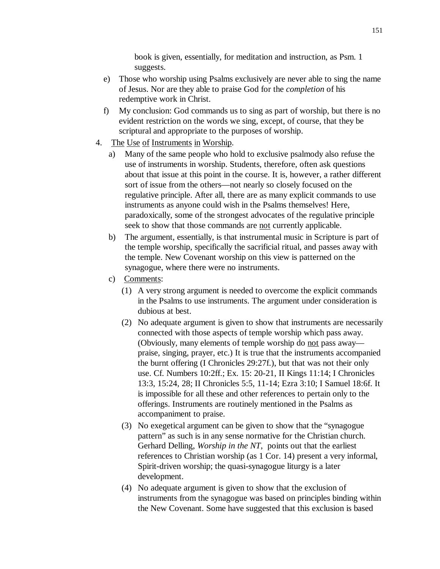book is given, essentially, for meditation and instruction, as Psm. 1 suggests.

- e) Those who worship using Psalms exclusively are never able to sing the name of Jesus. Nor are they able to praise God for the *completion* of his redemptive work in Christ.
- f) My conclusion: God commands us to sing as part of worship, but there is no evident restriction on the words we sing, except, of course, that they be scriptural and appropriate to the purposes of worship.
- 4. The Use of Instruments in Worship.
	- a) Many of the same people who hold to exclusive psalmody also refuse the use of instruments in worship. Students, therefore, often ask questions about that issue at this point in the course. It is, however, a rather different sort of issue from the others—not nearly so closely focused on the regulative principle. After all, there are as many explicit commands to use instruments as anyone could wish in the Psalms themselves! Here, paradoxically, some of the strongest advocates of the regulative principle seek to show that those commands are not currently applicable.
	- b) The argument, essentially, is that instrumental music in Scripture is part of the temple worship, specifically the sacrificial ritual, and passes away with the temple. New Covenant worship on this view is patterned on the synagogue, where there were no instruments.
	- c) Comments:
		- (1) A very strong argument is needed to overcome the explicit commands in the Psalms to use instruments. The argument under consideration is dubious at best.
		- (2) No adequate argument is given to show that instruments are necessarily connected with those aspects of temple worship which pass away. (Obviously, many elements of temple worship do not pass away praise, singing, prayer, etc.) It is true that the instruments accompanied the burnt offering (I Chronicles 29:27f.), but that was not their only use. Cf. Numbers 10:2ff.; Ex. 15: 20-21, II Kings 11:14; I Chronicles 13:3, 15:24, 28; II Chronicles 5:5, 11-14; Ezra 3:10; I Samuel 18:6f. It is impossible for all these and other references to pertain only to the offerings. Instruments are routinely mentioned in the Psalms as accompaniment to praise.
		- (3) No exegetical argument can be given to show that the "synagogue pattern" as such is in any sense normative for the Christian church. Gerhard Delling, *Worship in the NT*, points out that the earliest references to Christian worship (as 1 Cor. 14) present a very informal, Spirit-driven worship; the quasi-synagogue liturgy is a later development.
		- (4) No adequate argument is given to show that the exclusion of instruments from the synagogue was based on principles binding within the New Covenant. Some have suggested that this exclusion is based